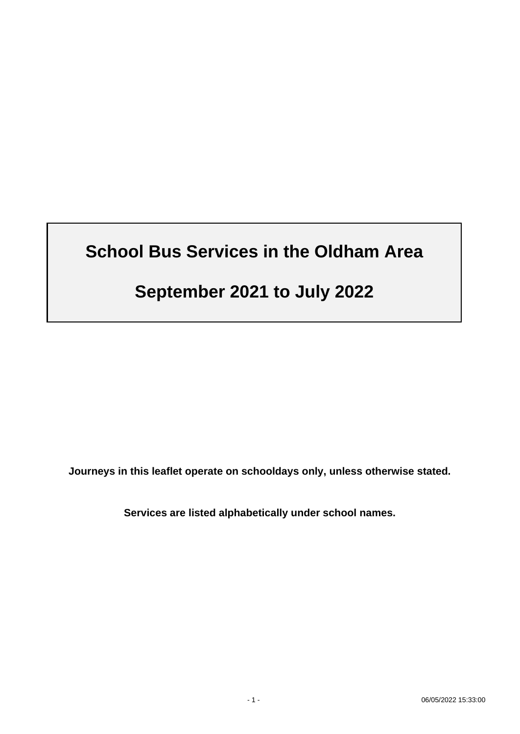# **School Bus Services in the Oldham Area**

# **September 2021 to July 2022**

**Journeys in this leaflet operate on schooldays only, unless otherwise stated.**

**Services are listed alphabetically under school names.**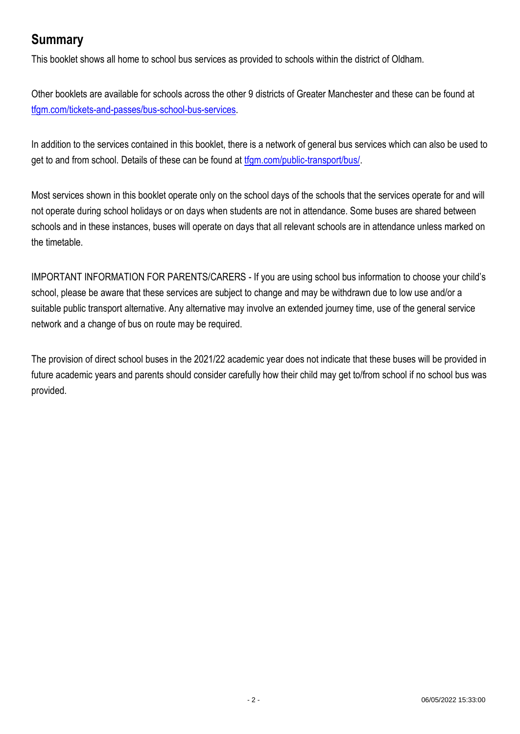# **Summary**

This booklet shows all home to school bus services as provided to schools within the district of Oldham.

Other booklets are available for schools across the other 9 districts of Greater Manchester and these can be found at [tfgm.com/tickets-and-passes/bus-school-bus-services.](https://tfgm.com/tickets-and-passes/bus-school-bus-services)

In addition to the services contained in this booklet, there is a network of general bus services which can also be used to get to and from school. Details of these can be found at [tfgm.com/public-transport/bus/.](https://tfgm.com/public-transport/bus/)

Most services shown in this booklet operate only on the school days of the schools that the services operate for and will not operate during school holidays or on days when students are not in attendance. Some buses are shared between schools and in these instances, buses will operate on days that all relevant schools are in attendance unless marked on the timetable.

IMPORTANT INFORMATION FOR PARENTS/CARERS - If you are using school bus information to choose your child's school, please be aware that these services are subject to change and may be withdrawn due to low use and/or a suitable public transport alternative. Any alternative may involve an extended journey time, use of the general service network and a change of bus on route may be required.

The provision of direct school buses in the 2021/22 academic year does not indicate that these buses will be provided in future academic years and parents should consider carefully how their child may get to/from school if no school bus was provided.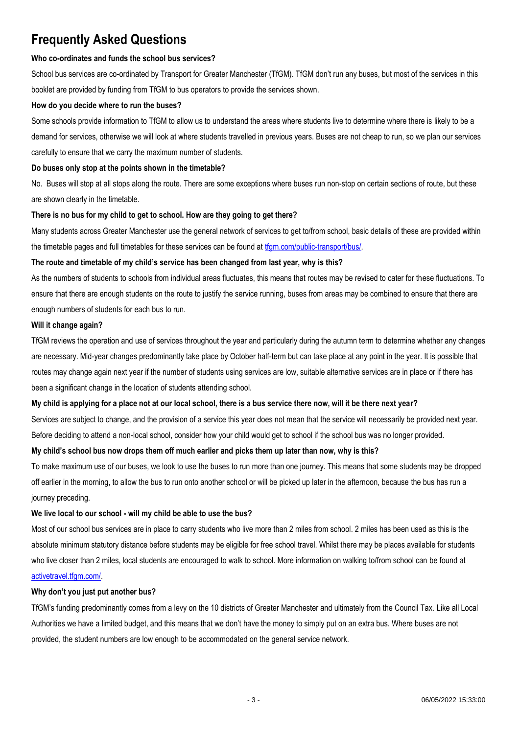# **Frequently Asked Questions**

#### **Who co-ordinates and funds the school bus services?**

School bus services are co-ordinated by Transport for Greater Manchester (TfGM). TfGM don't run any buses, but most of the services in this booklet are provided by funding from TfGM to bus operators to provide the services shown.

#### **How do you decide where to run the buses?**

Some schools provide information to TfGM to allow us to understand the areas where students live to determine where there is likely to be a demand for services, otherwise we will look at where students travelled in previous years. Buses are not cheap to run, so we plan our services carefully to ensure that we carry the maximum number of students.

#### **Do buses only stop at the points shown in the timetable?**

No. Buses will stop at all stops along the route. There are some exceptions where buses run non-stop on certain sections of route, but these are shown clearly in the timetable.

#### **There is no bus for my child to get to school. How are they going to get there?**

Many students across Greater Manchester use the general network of services to get to/from school, basic details of these are provided within the timetable pages and full timetables for these services can be found a[t tfgm.com/public-transport/bus/.](https://tfgm.com/public-transport/bus/)

#### **The route and timetable of my child's service has been changed from last year, why is this?**

As the numbers of students to schools from individual areas fluctuates, this means that routes may be revised to cater for these fluctuations. To ensure that there are enough students on the route to justify the service running, buses from areas may be combined to ensure that there are enough numbers of students for each bus to run.

#### **Will it change again?**

TfGM reviews the operation and use of services throughout the year and particularly during the autumn term to determine whether any changes are necessary. Mid-year changes predominantly take place by October half-term but can take place at any point in the year. It is possible that routes may change again next year if the number of students using services are low, suitable alternative services are in place or if there has been a significant change in the location of students attending school.

#### **My child is applying for a place not at our local school, there is a bus service there now, will it be there next year?**

Services are subject to change, and the provision of a service this year does not mean that the service will necessarily be provided next year. Before deciding to attend a non-local school, consider how your child would get to school if the school bus was no longer provided.

#### **My child's school bus now drops them off much earlier and picks them up later than now, why is this?**

To make maximum use of our buses, we look to use the buses to run more than one journey. This means that some students may be dropped off earlier in the morning, to allow the bus to run onto another school or will be picked up later in the afternoon, because the bus has run a journey preceding.

#### **We live local to our school - will my child be able to use the bus?**

Most of our school bus services are in place to carry students who live more than 2 miles from school. 2 miles has been used as this is the absolute minimum statutory distance before students may be eligible for free school travel. Whilst there may be places available for students who live closer than 2 miles, local students are encouraged to walk to school. More information on walking to/from school can be found at [activetravel.tfgm.com/.](https://activetravel.tfgm.com/)

#### **Why don't you just put another bus?**

TfGM's funding predominantly comes from a levy on the 10 districts of Greater Manchester and ultimately from the Council Tax. Like all Local Authorities we have a limited budget, and this means that we don't have the money to simply put on an extra bus. Where buses are not provided, the student numbers are low enough to be accommodated on the general service network.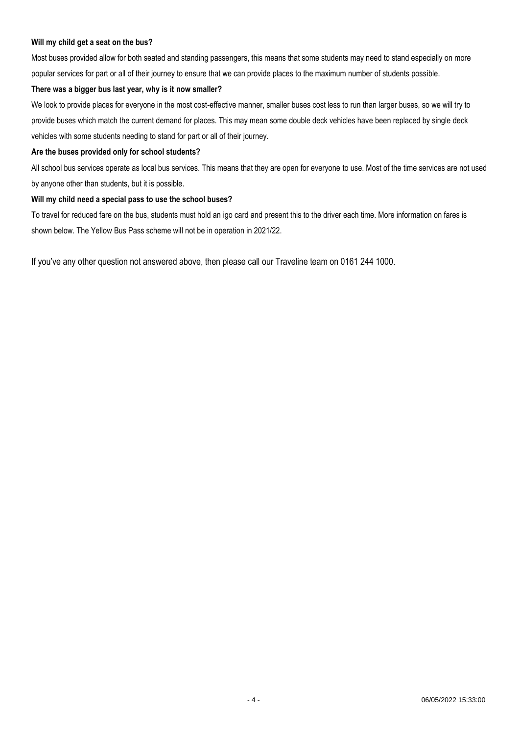#### **Will my child get a seat on the bus?**

Most buses provided allow for both seated and standing passengers, this means that some students may need to stand especially on more popular services for part or all of their journey to ensure that we can provide places to the maximum number of students possible.

#### **There was a bigger bus last year, why is it now smaller?**

We look to provide places for everyone in the most cost-effective manner, smaller buses cost less to run than larger buses, so we will try to provide buses which match the current demand for places. This may mean some double deck vehicles have been replaced by single deck vehicles with some students needing to stand for part or all of their journey.

#### **Are the buses provided only for school students?**

All school bus services operate as local bus services. This means that they are open for everyone to use. Most of the time services are not used by anyone other than students, but it is possible.

#### **Will my child need a special pass to use the school buses?**

To travel for reduced fare on the bus, students must hold an igo card and present this to the driver each time. More information on fares is shown below. The Yellow Bus Pass scheme will not be in operation in 2021/22.

If you've any other question not answered above, then please call our Traveline team on 0161 244 1000.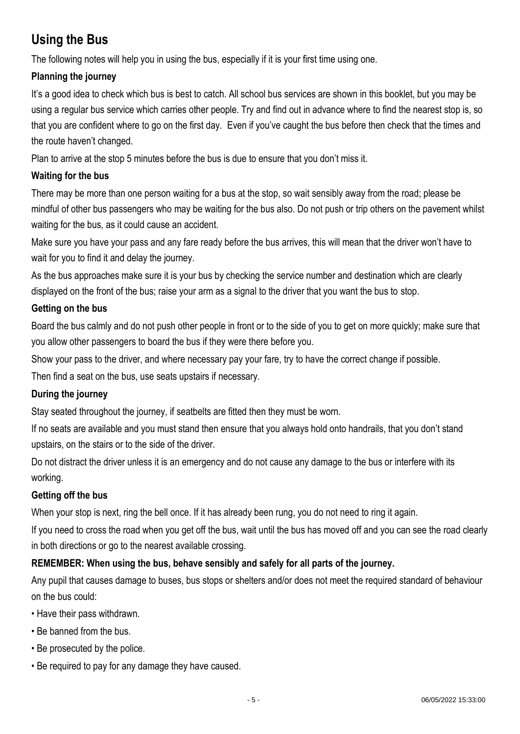# **Using the Bus**

The following notes will help you in using the bus, especially if it is your first time using one.

## **Planning the journey**

It's a good idea to check which bus is best to catch. All school bus services are shown in this booklet, but you may be using a regular bus service which carries other people. Try and find out in advance where to find the nearest stop is, so that you are confident where to go on the first day. Even if you've caught the bus before then check that the times and the route haven't changed.

Plan to arrive at the stop 5 minutes before the bus is due to ensure that you don't miss it.

## **Waiting for the bus**

There may be more than one person waiting for a bus at the stop, so wait sensibly away from the road; please be mindful of other bus passengers who may be waiting for the bus also. Do not push or trip others on the pavement whilst waiting for the bus, as it could cause an accident.

Make sure you have your pass and any fare ready before the bus arrives, this will mean that the driver won't have to wait for you to find it and delay the journey.

As the bus approaches make sure it is your bus by checking the service number and destination which are clearly displayed on the front of the bus; raise your arm as a signal to the driver that you want the bus to stop.

### **Getting on the bus**

Board the bus calmly and do not push other people in front or to the side of you to get on more quickly; make sure that you allow other passengers to board the bus if they were there before you.

Show your pass to the driver, and where necessary pay your fare, try to have the correct change if possible.

Then find a seat on the bus, use seats upstairs if necessary.

### **During the journey**

Stay seated throughout the journey, if seatbelts are fitted then they must be worn.

If no seats are available and you must stand then ensure that you always hold onto handrails, that you don't stand upstairs, on the stairs or to the side of the driver.

Do not distract the driver unless it is an emergency and do not cause any damage to the bus or interfere with its working.

### **Getting off the bus**

When your stop is next, ring the bell once. If it has already been rung, you do not need to ring it again.

If you need to cross the road when you get off the bus, wait until the bus has moved off and you can see the road clearly in both directions or go to the nearest available crossing.

### **REMEMBER: When using the bus, behave sensibly and safely for all parts of the journey.**

Any pupil that causes damage to buses, bus stops or shelters and/or does not meet the required standard of behaviour on the bus could:

- Have their pass withdrawn.
- Be banned from the bus.
- Be prosecuted by the police.
- Be required to pay for any damage they have caused.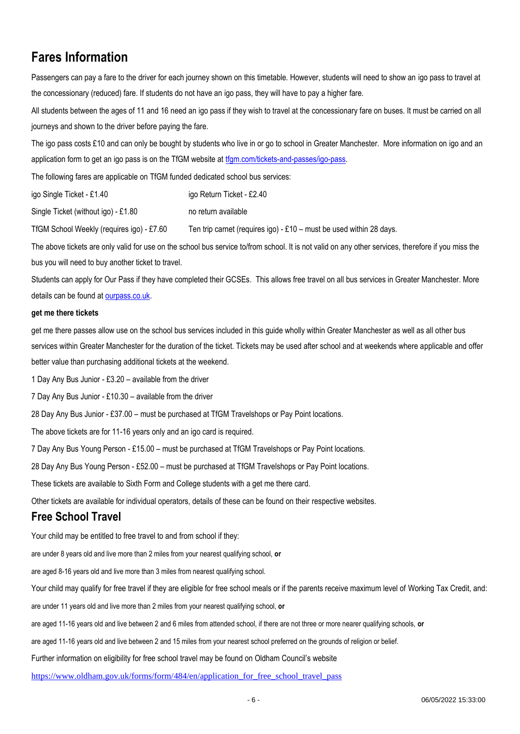# **Fares Information**

Passengers can pay a fare to the driver for each journey shown on this timetable. However, students will need to show an igo pass to travel at the concessionary (reduced) fare. If students do not have an igo pass, they will have to pay a higher fare.

All students between the ages of 11 and 16 need an igo pass if they wish to travel at the concessionary fare on buses. It must be carried on all journeys and shown to the driver before paying the fare.

The igo pass costs £10 and can only be bought by students who live in or go to school in Greater Manchester. More information on igo and an application form to get an igo pass is on the TfGM website at [tfgm.com/tickets-and-passes/igo-pass.](https://tfgm.com/tickets-and-passes/igo-pass)

The following fares are applicable on TfGM funded dedicated school bus services:

igo Single Ticket - £1.40 igo Return Ticket - £2.40

Single Ticket (without igo) - £1.80 no return available

TfGM School Weekly (requires igo) - £7.60 Ten trip carnet (requires igo) - £10 – must be used within 28 days.

The above tickets are only valid for use on the school bus service to/from school. It is not valid on any other services, therefore if you miss the bus you will need to buy another ticket to travel.

Students can apply for Our Pass if they have completed their GCSEs. This allows free travel on all bus services in Greater Manchester. More details can be found at [ourpass.co.uk.](http://ourpass.co.uk/)

#### **get me there tickets**

get me there passes allow use on the school bus services included in this guide wholly within Greater Manchester as well as all other bus services within Greater Manchester for the duration of the ticket. Tickets may be used after school and at weekends where applicable and offer better value than purchasing additional tickets at the weekend.

1 Day Any Bus Junior - £3.20 – available from the driver

7 Day Any Bus Junior - £10.30 – available from the driver

28 Day Any Bus Junior - £37.00 – must be purchased at TfGM Travelshops or Pay Point locations.

The above tickets are for 11-16 years only and an igo card is required.

7 Day Any Bus Young Person - £15.00 – must be purchased at TfGM Travelshops or Pay Point locations.

28 Day Any Bus Young Person - £52.00 – must be purchased at TfGM Travelshops or Pay Point locations.

These tickets are available to Sixth Form and College students with a get me there card.

Other tickets are available for individual operators, details of these can be found on their respective websites.

### **Free School Travel**

Your child may be entitled to free travel to and from school if they:

are under 8 years old and live more than 2 miles from your nearest qualifying school, **or**

are aged 8-16 years old and live more than 3 miles from nearest qualifying school.

Your child may qualify for free travel if they are eligible for free school meals or if the parents receive maximum level of Working Tax Credit, and:

are under 11 years old and live more than 2 miles from your nearest qualifying school, **or**

are aged 11-16 years old and live between 2 and 6 miles from attended school, if there are not three or more nearer qualifying schools, **or**

are aged 11-16 years old and live between 2 and 15 miles from your nearest school preferred on the grounds of religion or belief.

Further information on eligibility for free school travel may be found on Oldham Council's website

[https://www.oldham.gov.uk/forms/form/484/en/application\\_for\\_free\\_school\\_travel\\_pass](https://www.oldham.gov.uk/forms/form/484/en/application_for_free_school_travel_pass)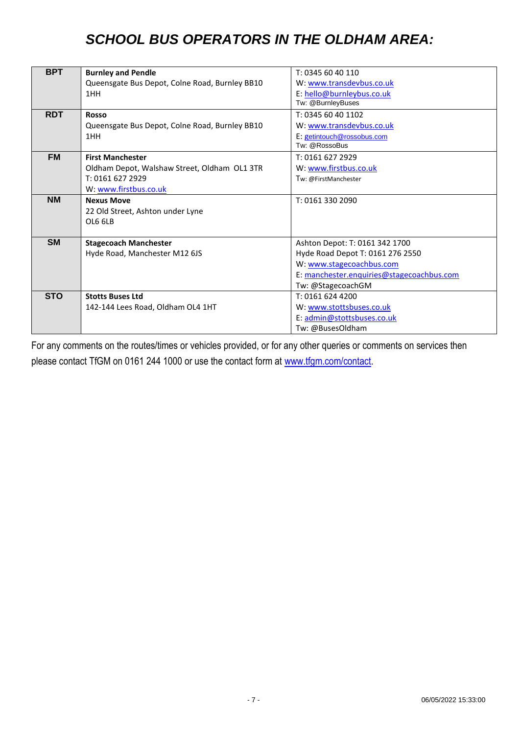# *SCHOOL BUS OPERATORS IN THE OLDHAM AREA:*

| <b>BPT</b> | <b>Burnley and Pendle</b>                      | T: 0345 60 40 110                         |
|------------|------------------------------------------------|-------------------------------------------|
|            | Queensgate Bus Depot, Colne Road, Burnley BB10 | W: www.transdevbus.co.uk                  |
|            | 1HH                                            | E: hello@burnleybus.co.uk                 |
|            |                                                | Tw: @BurnleyBuses                         |
| <b>RDT</b> | <b>Rosso</b>                                   | T: 0345 60 40 1102                        |
|            | Queensgate Bus Depot, Colne Road, Burnley BB10 | W: www.transdevbus.co.uk                  |
|            | 1HH                                            | E: getintouch@rossobus.com                |
|            |                                                | Tw: @RossoBus                             |
| <b>FM</b>  | <b>First Manchester</b>                        | T: 0161 627 2929                          |
|            | Oldham Depot, Walshaw Street, Oldham OL1 3TR   | W: www.firstbus.co.uk                     |
|            | T: 0161 627 2929                               | Tw: @FirstManchester                      |
|            | W: www.firstbus.co.uk                          |                                           |
| <b>NM</b>  | <b>Nexus Move</b>                              | T: 0161 330 2090                          |
|            | 22 Old Street, Ashton under Lyne               |                                           |
|            | OL6 6LB                                        |                                           |
|            |                                                |                                           |
| <b>SM</b>  | <b>Stagecoach Manchester</b>                   | Ashton Depot: T: 0161 342 1700            |
|            | Hyde Road, Manchester M12 6JS                  | Hyde Road Depot T: 0161 276 2550          |
|            |                                                | W: www.stagecoachbus.com                  |
|            |                                                | E: manchester.enquiries@stagecoachbus.com |
|            |                                                | Tw: @StagecoachGM                         |
| <b>STO</b> | <b>Stotts Buses Ltd</b>                        | T: 0161 624 4200                          |
|            | 142-144 Lees Road, Oldham OL4 1HT              | W: www.stottsbuses.co.uk                  |
|            |                                                | E: admin@stottsbuses.co.uk                |
|            |                                                | Tw: @BusesOldham                          |

For any comments on the routes/times or vehicles provided, or for any other queries or comments on services then please contact TfGM on 0161 244 1000 or use the contact form at [www.tfgm.com/contact.](http://www.tfgm.com/contact)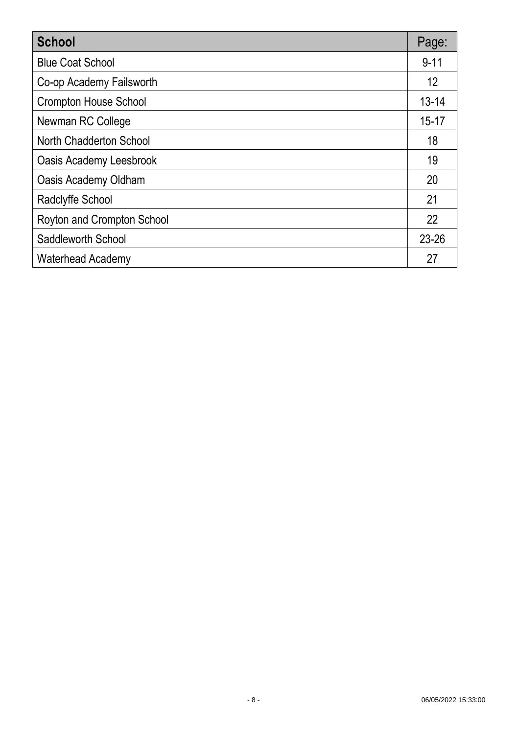| <b>School</b>                  | Page:     |
|--------------------------------|-----------|
| <b>Blue Coat School</b>        | $9 - 11$  |
| Co-op Academy Failsworth       | 12        |
| <b>Crompton House School</b>   | $13 - 14$ |
| Newman RC College              | $15 - 17$ |
| North Chadderton School        | 18        |
| <b>Oasis Academy Leesbrook</b> | 19        |
| Oasis Academy Oldham           | 20        |
| Radclyffe School               | 21        |
| Royton and Crompton School     | 22        |
| Saddleworth School             | $23 - 26$ |
| <b>Waterhead Academy</b>       | 27        |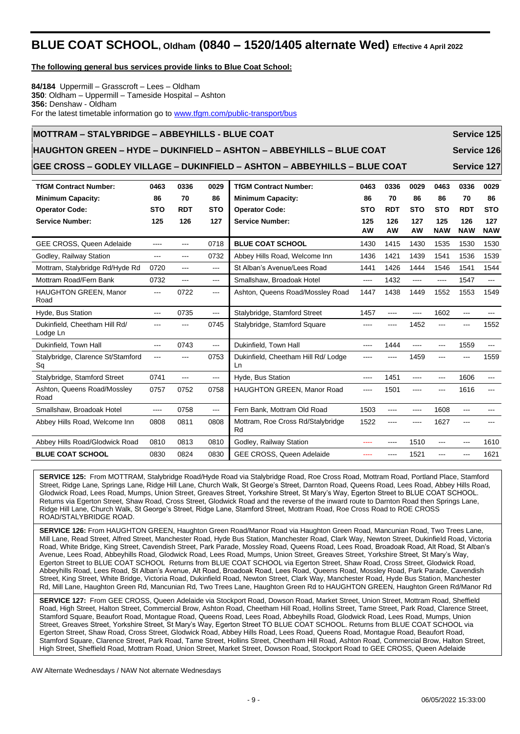# **BLUE COAT SCHOOL, Oldham (0840 – 1520/1405 alternate Wed) Effective 4 April 2022**

**The following general bus services provide links to Blue Coat School:**

**84/184** Uppermill – Grasscroft – Lees – Oldham **350**: Oldham – Uppermill – Tameside Hospital – Ashton **356:** Denshaw - Oldham For the latest timetable information go to [www.tfgm.com/public-transport/bus](http://www.tfgm.com/public-transport/bus)

# **MOTTRAM – STALYBRIDGE – ABBEYHILLS - BLUE COAT Service 125 HAUGHTON GREEN – HYDE – DUKINFIELD – ASHTON – ABBEYHILLS – BLUE COAT Service 126**

**GEE CROSS – GODLEY VILLAGE – DUKINFIELD – ASHTON – ABBEYHILLS – BLUE COAT Service 127**

| <b>TfGM Contract Number:</b>              | 0463       | 0336          | 0029       | <b>TfGM Contract Number:</b>              | 0463       | 0336       | 0029       | 0463       | 0336       | 0029                      |
|-------------------------------------------|------------|---------------|------------|-------------------------------------------|------------|------------|------------|------------|------------|---------------------------|
| <b>Minimum Capacity:</b>                  | 86         | 70            | 86         | <b>Minimum Capacity:</b>                  | 86         | 70         | 86         | 86         | 70         | 86                        |
| <b>Operator Code:</b>                     | <b>STO</b> | <b>RDT</b>    | <b>STO</b> | <b>Operator Code:</b>                     | <b>STO</b> | <b>RDT</b> | <b>STO</b> | <b>STO</b> | <b>RDT</b> | <b>STO</b>                |
| <b>Service Number:</b>                    | 125        | 126           | 127        | <b>Service Number:</b>                    | 125        | 126        | 127        | 125        | 126        | 127                       |
|                                           |            |               |            |                                           | <b>AW</b>  | <b>AW</b>  | AW         | <b>NAW</b> | <b>NAW</b> | <b>NAW</b>                |
| <b>GEE CROSS, Queen Adelaide</b>          | ----       | ---           | 0718       | <b>BLUE COAT SCHOOL</b>                   | 1430       | 1415       | 1430       | 1535       | 1530       | 1530                      |
| Godley, Railway Station                   | ---        | ---           | 0732       | Abbey Hills Road, Welcome Inn             | 1436       | 1421       | 1439       | 1541       | 1536       | 1539                      |
| Mottram, Stalybridge Rd/Hyde Rd           | 0720       | ---           | ---        | St Alban's Avenue/Lees Road               | 1441       | 1426       | 1444       | 1546       | 1541       | 1544                      |
| Mottram Road/Fern Bank                    | 0732       | $\frac{1}{2}$ | $\cdots$   | Smallshaw, Broadoak Hotel                 | ----       | 1432       | ----       | $---$      | 1547       | $\qquad \qquad -\qquad -$ |
| HAUGHTON GREEN, Manor<br>Road             | $\cdots$   | 0722          | ---        | Ashton, Queens Road/Mossley Road          | 1447       | 1438       | 1449       | 1552       | 1553       | 1549                      |
| Hyde, Bus Station                         | $\cdots$   | 0735          | ---        | Stalybridge, Stamford Street              | 1457       |            | ----       | 1602       |            |                           |
| Dukinfield, Cheetham Hill Rd/<br>Lodge Ln | ---        | ---           | 0745       | Stalybridge, Stamford Square              |            |            | 1452       | ---        |            | 1552                      |
| Dukinfield. Town Hall                     | $- - -$    | 0743          | ---        | Dukinfield, Town Hall                     | ----       | 1444       | ----       |            | 1559       | ---                       |
| Stalybridge, Clarence St/Stamford<br>Sq   | $---$      | ---           | 0753       | Dukinfield, Cheetham Hill Rd/ Lodge<br>Ln | ----       | ----       | 1459       |            |            | 1559                      |
| Stalybridge, Stamford Street              | 0741       | $---$         | ---        | Hyde, Bus Station                         | ----       | 1451       | ----       | ---        | 1606       | ---                       |
| Ashton, Queens Road/Mossley<br>Road       | 0757       | 0752          | 0758       | HAUGHTON GREEN, Manor Road                |            | 1501       |            |            | 1616       |                           |
| Smallshaw, Broadoak Hotel                 | ----       | 0758          | $\cdots$   | Fern Bank, Mottram Old Road               | 1503       | ----       | ----       | 1608       | ---        |                           |
| Abbey Hills Road, Welcome Inn             | 0808       | 0811          | 0808       | Mottram, Roe Cross Rd/Stalybridge<br>Rd   | 1522       | ----       |            | 1627       |            |                           |
| Abbey Hills Road/Glodwick Road            | 0810       | 0813          | 0810       | Godley, Railway Station                   |            | ----       | 1510       |            | ---        | 1610                      |
| <b>BLUE COAT SCHOOL</b>                   | 0830       | 0824          | 0830       | <b>GEE CROSS, Queen Adelaide</b>          |            |            | 1521       |            |            | 1621                      |

**SERVICE 125:** From MOTTRAM, Stalybridge Road/Hyde Road via Stalybridge Road, Roe Cross Road, Mottram Road, Portland Place, Stamford Street, Ridge Lane, Springs Lane, Ridge Hill Lane, Church Walk, St George's Street, Darnton Road, Queens Road, Lees Road, Abbey Hills Road, Glodwick Road, Lees Road, Mumps, Union Street, Greaves Street, Yorkshire Street, St Mary's Way, Egerton Street to BLUE COAT SCHOOL. Returns via Egerton Street, Shaw Road, Cross Street, Glodwick Road and the reverse of the inward route to Darnton Road then Springs Lane, Ridge Hill Lane, Church Walk, St George's Street, Ridge Lane, Stamford Street, Mottram Road, Roe Cross Road to ROE CROSS ROAD/STALYBRIDGE ROAD.

**SERVICE 126:** From HAUGHTON GREEN, Haughton Green Road/Manor Road via Haughton Green Road, Mancunian Road, Two Trees Lane, Mill Lane, Read Street, Alfred Street, Manchester Road, Hyde Bus Station, Manchester Road, Clark Way, Newton Street, Dukinfield Road, Victoria Road, White Bridge, King Street, Cavendish Street, Park Parade, Mossley Road, Queens Road, Lees Road, Broadoak Road, Alt Road, St Alban's Avenue, Lees Road, Abbeyhills Road, Glodwick Road, Lees Road, Mumps, Union Street, Greaves Street, Yorkshire Street, St Mary's Way, Egerton Street to BLUE COAT SCHOOL Returns from BLUE COAT SCHOOL via Egerton Street, Shaw Road, Cross Street, Glodwick Road, Abbeyhills Road, Lees Road, St Alban's Avenue, Alt Road, Broadoak Road, Lees Road, Queens Road, Mossley Road, Park Parade, Cavendish Street, King Street, White Bridge, Victoria Road, Dukinfield Road, Newton Street, Clark Way, Manchester Road, Hyde Bus Station, Manchester Rd, Mill Lane, Haughton Green Rd, Mancunian Rd, Two Trees Lane, Haughton Green Rd to HAUGHTON GREEN, Haughton Green Rd/Manor Rd

**SERVICE 127:** From GEE CROSS, Queen Adelaide via Stockport Road, Dowson Road, Market Street, Union Street, Mottram Road, Sheffield Road, High Street, Halton Street, Commercial Brow, Ashton Road, Cheetham Hill Road, Hollins Street, Tame Street, Park Road, Clarence Street, Stamford Square, Beaufort Road, Montague Road, Queens Road, Lees Road, Abbeyhills Road, Glodwick Road, Lees Road, Mumps, Union Street, Greaves Street, Yorkshire Street, St Mary's Way, Egerton Street TO BLUE COAT SCHOOL. Returns from BLUE COAT SCHOOL via Egerton Street, Shaw Road, Cross Street, Glodwick Road, Abbey Hills Road, Lees Road, Queens Road, Montague Road, Beaufort Road, Stamford Square, Clarence Street, Park Road, Tame Street, Hollins Street, Cheetham Hill Road, Ashton Road, Commercial Brow, Halton Street, High Street, Sheffield Road, Mottram Road, Union Street, Market Street, Dowson Road, Stockport Road to GEE CROSS, Queen Adelaide

AW Alternate Wednesdays / NAW Not alternate Wednesdays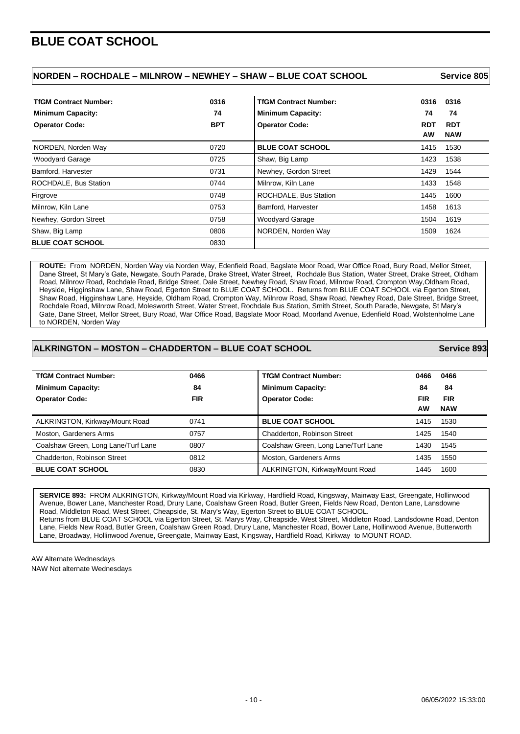# **BLUE COAT SCHOOL**

| NORDEN – ROCHDALE – MILNROW – NEWHEY – SHAW – BLUE COAT SCHOOL | Service 805 |
|----------------------------------------------------------------|-------------|
|                                                                |             |

| <b>TfGM Contract Number:</b><br><b>Minimum Capacity:</b> | 0316<br>74 | <b>TfGM Contract Number:</b><br><b>Minimum Capacity:</b> | 0316<br>0316<br>74<br>74                            |  |
|----------------------------------------------------------|------------|----------------------------------------------------------|-----------------------------------------------------|--|
| <b>Operator Code:</b>                                    | <b>BPT</b> | <b>Operator Code:</b>                                    | <b>RDT</b><br><b>RDT</b><br><b>AW</b><br><b>NAW</b> |  |
| NORDEN, Norden Way                                       | 0720       | <b>BLUE COAT SCHOOL</b>                                  | 1530<br>1415                                        |  |
| <b>Woodyard Garage</b>                                   | 0725       | Shaw, Big Lamp                                           | 1423<br>1538                                        |  |
| Bamford, Harvester                                       | 0731       | Newhey, Gordon Street                                    | 1429<br>1544                                        |  |
| ROCHDALE, Bus Station                                    | 0744       | Milnrow, Kiln Lane                                       | 1433<br>1548                                        |  |
| Firgrove                                                 | 0748       | ROCHDALE, Bus Station                                    | 1600<br>1445                                        |  |
| Milnrow, Kiln Lane                                       | 0753       | Bamford, Harvester                                       | 1613<br>1458                                        |  |
| Newhey, Gordon Street                                    | 0758       | <b>Woodyard Garage</b>                                   | 1619<br>1504                                        |  |
| Shaw, Big Lamp                                           | 0806       | NORDEN, Norden Way                                       | 1624<br>1509                                        |  |
| <b>BLUE COAT SCHOOL</b>                                  | 0830       |                                                          |                                                     |  |

 **ROUTE:** From NORDEN, Norden Way via Norden Way, Edenfield Road, Bagslate Moor Road, War Office Road, Bury Road, Mellor Street, Dane Street, St Mary's Gate, Newgate, South Parade, Drake Street, Water Street, Rochdale Bus Station, Water Street, Drake Street, Oldham Road, Milnrow Road, Rochdale Road, Bridge Street, Dale Street, Newhey Road, Shaw Road, Milnrow Road, Crompton Way,Oldham Road, Heyside, Higginshaw Lane, Shaw Road, Egerton Street to BLUE COAT SCHOOL. Returns from BLUE COAT SCHOOL via Egerton Street, Shaw Road, Higginshaw Lane, Heyside, Oldham Road, Crompton Way, Milnrow Road, Shaw Road, Newhey Road, Dale Street, Bridge Street, Rochdale Road, Milnrow Road, Molesworth Street, Water Street, Rochdale Bus Station, Smith Street, South Parade, Newgate, St Mary's Gate, Dane Street, Mellor Street, Bury Road, War Office Road, Bagslate Moor Road, Moorland Avenue, Edenfield Road, Wolstenholme Lane to NORDEN, Norden Way

#### **ALKRINGTON – MOSTON – CHADDERTON – BLUE COAT SCHOOL Service 893**

| <b>TfGM Contract Number:</b>        | 0466       | <b>TfGM Contract Number:</b>        | 0466       | 0466       |
|-------------------------------------|------------|-------------------------------------|------------|------------|
| <b>Minimum Capacity:</b>            | 84         | <b>Minimum Capacity:</b>            | 84         | 84         |
| <b>Operator Code:</b>               | <b>FIR</b> | <b>Operator Code:</b>               | <b>FIR</b> | <b>FIR</b> |
|                                     |            |                                     | <b>AW</b>  | <b>NAW</b> |
| ALKRINGTON, Kirkway/Mount Road      | 0741       | <b>BLUE COAT SCHOOL</b>             | 1415       | 1530       |
| Moston, Gardeners Arms              | 0757       | Chadderton, Robinson Street         | 1425       | 1540       |
| Coalshaw Green, Long Lane/Turf Lane | 0807       | Coalshaw Green, Long Lane/Turf Lane | 1430       | 1545       |
| Chadderton, Robinson Street         | 0812       | Moston, Gardeners Arms              | 1435       | 1550       |
| <b>BLUE COAT SCHOOL</b>             | 0830       | ALKRINGTON, Kirkway/Mount Road      | 1445       | 1600       |

**SERVICE 893:** FROM ALKRINGTON, Kirkway/Mount Road via Kirkway, Hardfield Road, Kingsway, Mainway East, Greengate, Hollinwood Avenue, Bower Lane, Manchester Road, Drury Lane, Coalshaw Green Road, Butler Green, Fields New Road, Denton Lane, Lansdowne Road, Middleton Road, West Street, Cheapside, St. Mary's Way, Egerton Street to BLUE COAT SCHOOL. Returns from BLUE COAT SCHOOL via Egerton Street, St. Marys Way, Cheapside, West Street, Middleton Road, Landsdowne Road, Denton Lane, Fields New Road, Butler Green, Coalshaw Green Road, Drury Lane, Manchester Road, Bower Lane, Hollinwood Avenue, Butterworth Lane, Broadway, Hollinwood Avenue, Greengate, Mainway East, Kingsway, Hardfield Road, Kirkway to MOUNT ROAD.

AW Alternate Wednesdays NAW Not alternate Wednesdays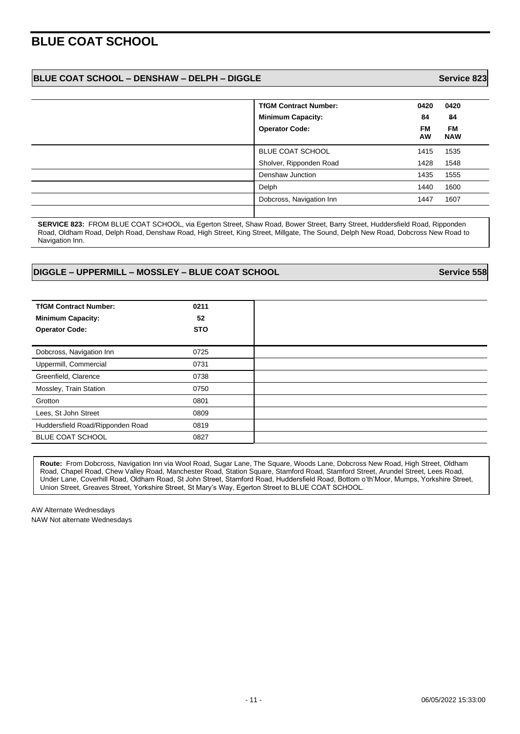# **BLUE COAT SCHOOL**

#### **BLUE COAT SCHOOL – DENSHAW – DELPH – DIGGLE Service 823**

| <b>TfGM Contract Number:</b> | 0420            | 0420                    |
|------------------------------|-----------------|-------------------------|
| <b>Minimum Capacity:</b>     | 84              | 84                      |
| <b>Operator Code:</b>        | <b>FM</b><br>AW | <b>FM</b><br><b>NAW</b> |
| BLUE COAT SCHOOL             | 1415            | 1535                    |
| Sholver, Ripponden Road      | 1428            | 1548                    |
| Denshaw Junction             | 1435            | 1555                    |
| Delph                        | 1440            | 1600                    |
| Dobcross, Navigation Inn     | 1447            | 1607                    |
|                              |                 |                         |

**SERVICE 823:** FROM BLUE COAT SCHOOL, via Egerton Street, Shaw Road, Bower Street, Barry Street, Huddersfield Road, Ripponden Road, Oldham Road, Delph Road, Denshaw Road, High Street, King Street, Millgate, The Sound, Delph New Road, Dobcross New Road to Navigation Inn.

#### **DIGGLE – UPPERMILL – MOSSLEY – BLUE COAT SCHOOL Service 558**

**TfGM Contract Number: 0211 Minimum Capacity: 52 Operator Code: STO** Dobcross, Navigation Inn **1988** 0725 Uppermill, Commercial 0731 Greenfield, Clarence 0738 Mossley, Train Station **0750** Grotton 0801 Lees, St John Street 0809 Huddersfield Road/Ripponden Road 0819 BLUE COAT SCHOOL 0827

**Route:** From Dobcross, Navigation Inn via Wool Road, Sugar Lane, The Square, Woods Lane, Dobcross New Road, High Street, Oldham Road, Chapel Road, Chew Valley Road, Manchester Road, Station Square, Stamford Road, Stamford Street, Arundel Street, Lees Road, Under Lane, Coverhill Road, Oldham Road, St John Street, Stamford Road, Huddersfield Road, Bottom o'th'Moor, Mumps, Yorkshire Street, Union Street, Greaves Street, Yorkshire Street, St Mary's Way, Egerton Street to BLUE COAT SCHOOL.

AW Alternate Wednesdays NAW Not alternate Wednesdays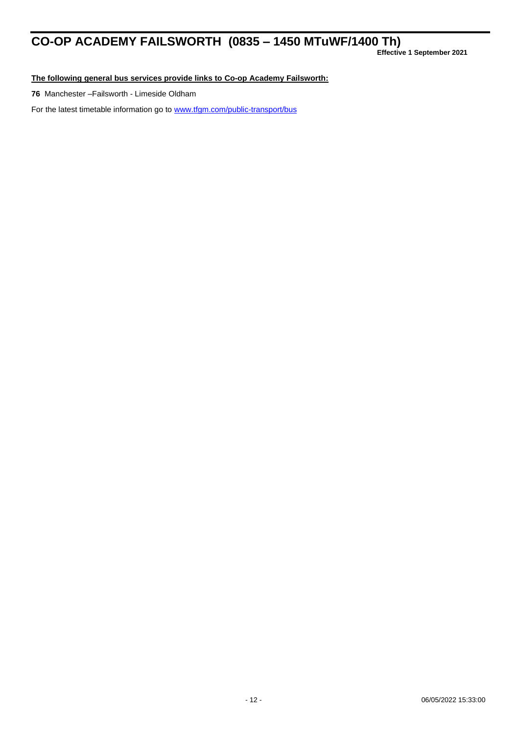# **CO-OP ACADEMY FAILSWORTH (0835 – 1450 MTuWF/1400 Th)**

**Effective 1 September 2021**

**The following general bus services provide links to Co-op Academy Failsworth:**

**76** Manchester –Failsworth - Limeside Oldham

For the latest timetable information go to [www.tfgm.com/public-transport/bus](http://www.tfgm.com/public-transport/bus)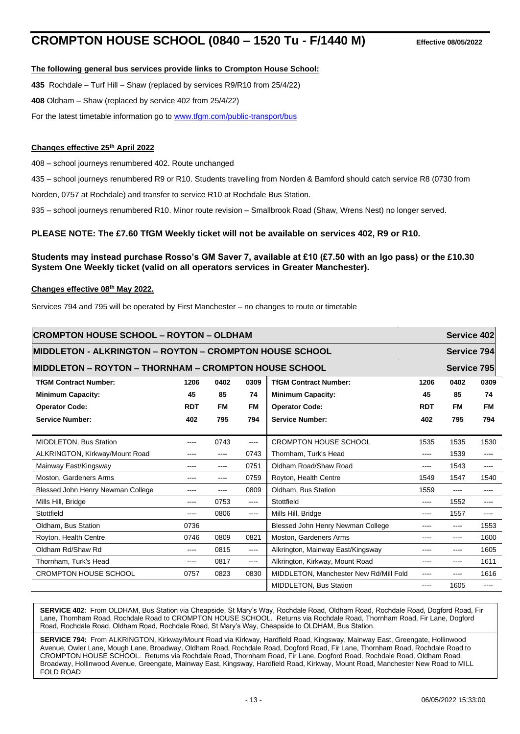# **CROMPTON HOUSE SCHOOL (0840 – 1520 Tu - F/1440 M) Effective 08/05/2022**

#### **The following general bus services provide links to Crompton House School:**

**435** Rochdale – Turf Hill – Shaw (replaced by services R9/R10 from 25/4/22)

**408** Oldham – Shaw (replaced by service 402 from 25/4/22)

For the latest timetable information go to [www.tfgm.com/public-transport/bus](http://www.tfgm.com/public-transport/bus)

#### **Changes effective 25th April 2022**

408 – school journeys renumbered 402. Route unchanged

435 – school journeys renumbered R9 or R10. Students travelling from Norden & Bamford should catch service R8 (0730 from

Norden, 0757 at Rochdale) and transfer to service R10 at Rochdale Bus Station.

935 – school journeys renumbered R10. Minor route revision – Smallbrook Road (Shaw, Wrens Nest) no longer served.

#### **PLEASE NOTE: The £7.60 TfGM Weekly ticket will not be available on services 402, R9 or R10.**

#### **Students may instead purchase Rosso's GM Saver 7, available at £10 (£7.50 with an Igo pass) or the £10.30 System One Weekly ticket (valid on all operators services in Greater Manchester).**

#### **Changes effective 08th May 2022.**

Services 794 and 795 will be operated by First Manchester – no changes to route or timetable

| <b>CROMPTON HOUSE SCHOOL - ROYTON - OLDHAM</b>          |            |           |           |                                        |             |             | Service 402                                                                                                                                                                                                                                                                                                                                                                                                                                                                |
|---------------------------------------------------------|------------|-----------|-----------|----------------------------------------|-------------|-------------|----------------------------------------------------------------------------------------------------------------------------------------------------------------------------------------------------------------------------------------------------------------------------------------------------------------------------------------------------------------------------------------------------------------------------------------------------------------------------|
| MIDDLETON - ALKRINGTON – ROYTON – CROMPTON HOUSE SCHOOL |            |           |           |                                        |             | Service 794 |                                                                                                                                                                                                                                                                                                                                                                                                                                                                            |
| IMIDDLETON – ROYTON – THORNHAM – CROMPTON HOUSE SCHOOL  |            |           |           |                                        | Service 795 |             |                                                                                                                                                                                                                                                                                                                                                                                                                                                                            |
| <b>TfGM Contract Number:</b>                            | 1206       | 0402      | 0309      | <b>TfGM Contract Number:</b>           | 1206        | 0402        | 0309                                                                                                                                                                                                                                                                                                                                                                                                                                                                       |
| <b>Minimum Capacity:</b>                                | 45         | 85        | 74        | <b>Minimum Capacity:</b>               | 45          | 85          | 74                                                                                                                                                                                                                                                                                                                                                                                                                                                                         |
| <b>Operator Code:</b>                                   | <b>RDT</b> | <b>FM</b> | <b>FM</b> | <b>Operator Code:</b>                  | <b>RDT</b>  | <b>FM</b>   | FM                                                                                                                                                                                                                                                                                                                                                                                                                                                                         |
| <b>Service Number:</b>                                  | 402        | 795       | 794       | <b>Service Number:</b>                 | 402         | 795         | 794                                                                                                                                                                                                                                                                                                                                                                                                                                                                        |
|                                                         |            |           |           |                                        |             |             |                                                                                                                                                                                                                                                                                                                                                                                                                                                                            |
| MIDDLETON, Bus Station                                  | ----       | 0743      | ----      | <b>CROMPTON HOUSE SCHOOL</b>           | 1535        | 1535        | 1530                                                                                                                                                                                                                                                                                                                                                                                                                                                                       |
| ALKRINGTON, Kirkway/Mount Road                          | ----       | ----      | 0743      | Thornham, Turk's Head                  | $\cdots$    | 1539        | $\cdots$                                                                                                                                                                                                                                                                                                                                                                                                                                                                   |
| Mainway East/Kingsway                                   | ----       | ----      | 0751      | Oldham Road/Shaw Road                  | ----        | 1543        | $---$                                                                                                                                                                                                                                                                                                                                                                                                                                                                      |
| Moston, Gardeners Arms                                  | ----       | ----      | 0759      | Royton, Health Centre                  | 1549        | 1547        | 1540                                                                                                                                                                                                                                                                                                                                                                                                                                                                       |
| Blessed John Henry Newman College                       | ----       | ----      | 0809      | Oldham, Bus Station                    | 1559        | $---$       | $\cdots$                                                                                                                                                                                                                                                                                                                                                                                                                                                                   |
| Mills Hill, Bridge                                      | ----       | 0753      | ----      | Stottfield                             | ----        | 1552        | $\cdots$                                                                                                                                                                                                                                                                                                                                                                                                                                                                   |
| Stottfield                                              | ----       | 0806      | ----      | Mills Hill, Bridge                     | ----        | 1557        | $\frac{1}{2} \left( \frac{1}{2} \right) \left( \frac{1}{2} \right) \left( \frac{1}{2} \right) \left( \frac{1}{2} \right) \left( \frac{1}{2} \right) \left( \frac{1}{2} \right) \left( \frac{1}{2} \right) \left( \frac{1}{2} \right) \left( \frac{1}{2} \right) \left( \frac{1}{2} \right) \left( \frac{1}{2} \right) \left( \frac{1}{2} \right) \left( \frac{1}{2} \right) \left( \frac{1}{2} \right) \left( \frac{1}{2} \right) \left( \frac{1}{2} \right) \left( \frac$ |
| Oldham, Bus Station                                     | 0736       |           |           | Blessed John Henry Newman College      | ----        | $---$       | 1553                                                                                                                                                                                                                                                                                                                                                                                                                                                                       |
| Royton, Health Centre                                   | 0746       | 0809      | 0821      | Moston, Gardeners Arms                 | ----        | $---$       | 1600                                                                                                                                                                                                                                                                                                                                                                                                                                                                       |
| Oldham Rd/Shaw Rd                                       | ----       | 0815      | ----      | Alkrington, Mainway East/Kingsway      | ----        | $- - - -$   | 1605                                                                                                                                                                                                                                                                                                                                                                                                                                                                       |
| Thornham, Turk's Head                                   | ----       | 0817      | ----      | Alkrington, Kirkway, Mount Road        | ----        | ----        | 1611                                                                                                                                                                                                                                                                                                                                                                                                                                                                       |
| <b>CROMPTON HOUSE SCHOOL</b>                            | 0757       | 0823      | 0830      | MIDDLETON, Manchester New Rd/Mill Fold | ----        | ----        | 1616                                                                                                                                                                                                                                                                                                                                                                                                                                                                       |
|                                                         |            |           |           | <b>MIDDLETON, Bus Station</b>          | ----        | 1605        | $\frac{1}{2} \left( \frac{1}{2} \right) \left( \frac{1}{2} \right) \left( \frac{1}{2} \right) \left( \frac{1}{2} \right) \left( \frac{1}{2} \right) \left( \frac{1}{2} \right) \left( \frac{1}{2} \right) \left( \frac{1}{2} \right) \left( \frac{1}{2} \right) \left( \frac{1}{2} \right) \left( \frac{1}{2} \right) \left( \frac{1}{2} \right) \left( \frac{1}{2} \right) \left( \frac{1}{2} \right) \left( \frac{1}{2} \right) \left( \frac{1}{2} \right) \left( \frac$ |

**SERVICE 402**: From OLDHAM, Bus Station via Cheapside, St Mary's Way, Rochdale Road, Oldham Road, Rochdale Road, Dogford Road, Fir Lane, Thornham Road, Rochdale Road to CROMPTON HOUSE SCHOOL. Returns via Rochdale Road, Thornham Road, Fir Lane, Dogford Road, Rochdale Road, Oldham Road, Rochdale Road, St Mary's Way, Cheapside to OLDHAM, Bus Station.

**SERVICE 794:** From ALKRINGTON, Kirkway/Mount Road via Kirkway, Hardfield Road, Kingsway, Mainway East, Greengate, Hollinwood Avenue, Owler Lane, Mough Lane, Broadway, Oldham Road, Rochdale Road, Dogford Road, Fir Lane, Thornham Road, Rochdale Road to CROMPTON HOUSE SCHOOL. Returns via Rochdale Road, Thornham Road, Fir Lane, Dogford Road, Rochdale Road, Oldham Road, Broadway, Hollinwood Avenue, Greengate, Mainway East, Kingsway, Hardfield Road, Kirkway, Mount Road, Manchester New Road to MILL FOLD ROAD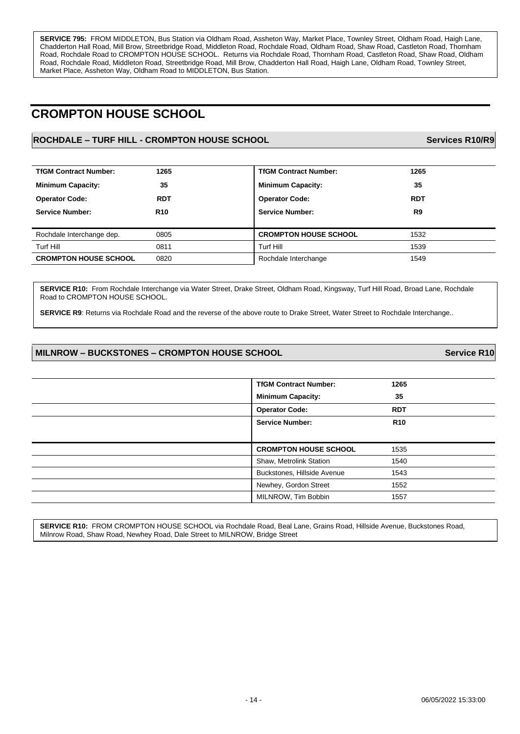**SERVICE 795:** FROM MIDDLETON, Bus Station via Oldham Road, Assheton Way, Market Place, Townley Street, Oldham Road, Haigh Lane, Chadderton Hall Road, Mill Brow, Streetbridge Road, Middleton Road, Rochdale Road, Oldham Road, Shaw Road, Castleton Road, Thornham Road, Rochdale Road to CROMPTON HOUSE SCHOOL. Returns via Rochdale Road, Thornham Road, Castleton Road, Shaw Road, Oldham Road, Rochdale Road, Middleton Road, Streetbridge Road, Mill Brow, Chadderton Hall Road, Haigh Lane, Oldham Road, Townley Street, Market Place, Assheton Way, Oldham Road to MIDDLETON, Bus Station.

# **CROMPTON HOUSE SCHOOL**

### **ROCHDALE – TURF HILL - CROMPTON HOUSE SCHOOL Services R10/R9**

| <b>TfGM Contract Number:</b> | 1265       | <b>TfGM Contract Number:</b> | 1265       |
|------------------------------|------------|------------------------------|------------|
| <b>Minimum Capacity:</b>     | 35         | <b>Minimum Capacity:</b>     | 35         |
| <b>Operator Code:</b>        | <b>RDT</b> | <b>Operator Code:</b>        | <b>RDT</b> |
| <b>Service Number:</b>       | <b>R10</b> | <b>Service Number:</b>       | R9         |
|                              |            |                              |            |
| Rochdale Interchange dep.    | 0805       | <b>CROMPTON HOUSE SCHOOL</b> | 1532       |
| Turf Hill                    | 0811       | Turf Hill                    | 1539       |
| <b>CROMPTON HOUSE SCHOOL</b> | 0820       | Rochdale Interchange         | 1549       |
|                              |            |                              |            |

**SERVICE R10:** From Rochdale Interchange via Water Street, Drake Street, Oldham Road, Kingsway, Turf Hill Road, Broad Lane, Rochdale Road to CROMPTON HOUSE SCHOOL.

**SERVICE R9**: Returns via Rochdale Road and the reverse of the above route to Drake Street, Water Street to Rochdale Interchange..

#### **MILNROW – BUCKSTONES – CROMPTON HOUSE SCHOOL Service R10**

| <b>TfGM Contract Number:</b> | 1265       |
|------------------------------|------------|
| <b>Minimum Capacity:</b>     | 35         |
| <b>Operator Code:</b>        | <b>RDT</b> |
| <b>Service Number:</b>       | <b>R10</b> |
|                              |            |
|                              |            |
| <b>CROMPTON HOUSE SCHOOL</b> | 1535       |
| Shaw, Metrolink Station      | 1540       |
| Buckstones, Hillside Avenue  | 1543       |
| Newhey, Gordon Street        | 1552       |

**SERVICE R10:** FROM CROMPTON HOUSE SCHOOL via Rochdale Road, Beal Lane, Grains Road, Hillside Avenue, Buckstones Road, Milnrow Road, Shaw Road, Newhey Road, Dale Street to MILNROW, Bridge Street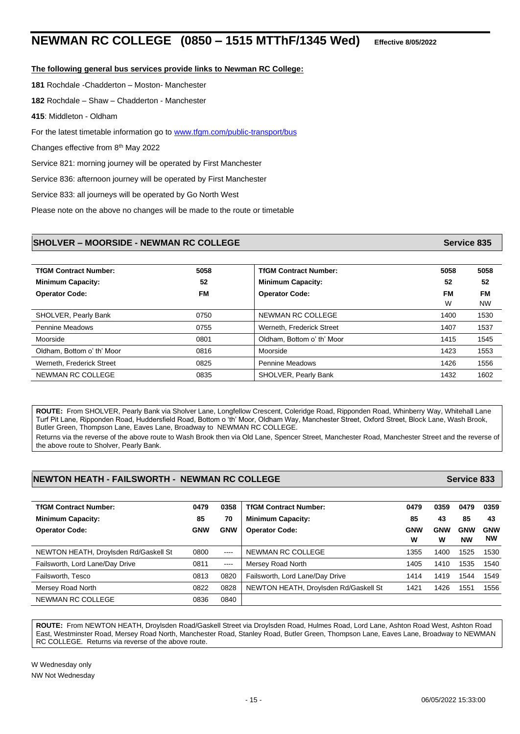# **NEWMAN RC COLLEGE (0850 – 1515 MTThF/1345 Wed) Effective 8/05/2022**

#### **The following general bus services provide links to Newman RC College:**

**181** Rochdale -Chadderton – Moston- Manchester

**182** Rochdale – Shaw – Chadderton - Manchester

**415**: Middleton - Oldham

For the latest timetable information go to [www.tfgm.com/public-transport/bus](http://www.tfgm.com/public-transport/bus)

Changes effective from 8<sup>th</sup> May 2022

Service 821: morning journey will be operated by First Manchester

Service 836: afternoon journey will be operated by First Manchester

Service 833: all journeys will be operated by Go North West

Please note on the above no changes will be made to the route or timetable

#### **SHOLVER – MOORSIDE - NEWMAN RC COLLEGE Service 835**

| <b>TfGM Contract Number:</b> | 5058      | <b>TfGM Contract Number:</b> | 5058      | 5058      |
|------------------------------|-----------|------------------------------|-----------|-----------|
| <b>Minimum Capacity:</b>     | 52        | <b>Minimum Capacity:</b>     | 52        | 52        |
| <b>Operator Code:</b>        | <b>FM</b> | <b>Operator Code:</b>        | <b>FM</b> | FМ        |
|                              |           |                              | W         | <b>NW</b> |
| SHOLVER, Pearly Bank         | 0750      | NEWMAN RC COLLEGE            | 1400      | 1530      |
| <b>Pennine Meadows</b>       | 0755      | Werneth, Frederick Street    | 1407      | 1537      |
| Moorside                     | 0801      | Oldham. Bottom o' th' Moor   | 1415      | 1545      |
| Oldham, Bottom o' th' Moor   | 0816      | Moorside                     | 1423      | 1553      |
| Werneth, Frederick Street    | 0825      | Pennine Meadows              | 1426      | 1556      |
| NEWMAN RC COLLEGE            | 0835      | SHOLVER, Pearly Bank         | 1432      | 1602      |

**ROUTE:** From SHOLVER, Pearly Bank via Sholver Lane, Longfellow Crescent, Coleridge Road, Ripponden Road, Whinberry Way, Whitehall Lane Turf Pit Lane, Ripponden Road, Huddersfield Road, Bottom o 'th' Moor, Oldham Way, Manchester Street, Oxford Street, Block Lane, Wash Brook, Butler Green, Thompson Lane, Eaves Lane, Broadway to NEWMAN RC COLLEGE.

Returns via the reverse of the above route to Wash Brook then via Old Lane, Spencer Street, Manchester Road, Manchester Street and the reverse of the above route to Sholver, Pearly Bank.

#### **NEWTON HEATH - FAILSWORTH - NEWMAN RC COLLEGE Service 833**

**TfGM Contract Number: 0479 0358 TfGM Contract Number: 0479 0359 0479 0359 Minimum Capacity: 85 70 Minimum Capacity: 85 43 85 43 Operator Code: GNW GNW Operator Code: GNW W GNW W GNW NW GNW NW** NEWTON HEATH, Droylsden Rd/Gaskell St 0800 ---- NEWMAN RC COLLEGE 1355 1355 1400 1525 1530 Failsworth, Lord Lane/Day Drive **1405 1540** 0811 ---- Mersey Road North 1540 1405 1410 1535 1540 Failsworth, Tesco **18th** 1544 1549 0813 0820 Failsworth, Lord Lane/Day Drive 1414 1414 1419 1544 1549 Mersey Road North **1822 0822 0828** NEWTON HEATH, Droylsden Rd/Gaskell St 1421 1426 1551 1556 NEWMAN RC COLLEGE 0836 0840

**ROUTE:** From NEWTON HEATH, Droylsden Road/Gaskell Street via Droylsden Road, Hulmes Road, Lord Lane, Ashton Road West, Ashton Road East, Westminster Road, Mersey Road North, Manchester Road, Stanley Road, Butler Green, Thompson Lane, Eaves Lane, Broadway to NEWMAN RC COLLEGE. Returns via reverse of the above route.

W Wednesday only NW Not Wednesday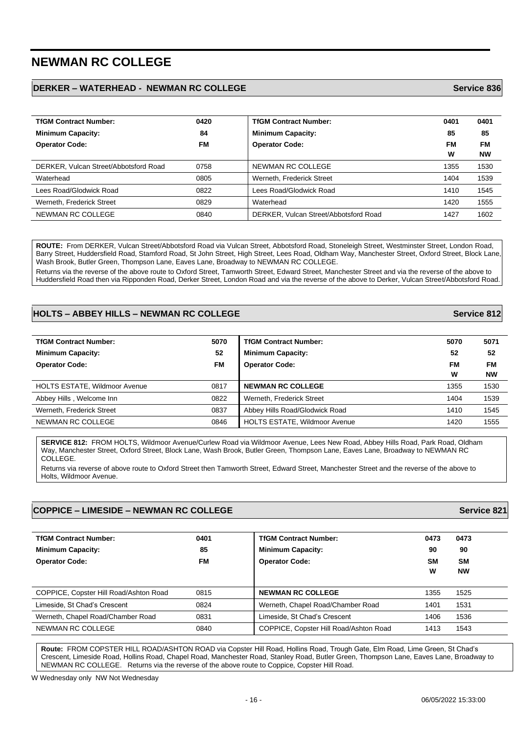# **NEWMAN RC COLLEGE**

#### **DERKER – WATERHEAD - NEWMAN RC COLLEGE Service 836**

| <b>TfGM Contract Number:</b>          | 0420      | <b>TfGM Contract Number:</b>          | 0401 | 0401      |
|---------------------------------------|-----------|---------------------------------------|------|-----------|
| <b>Minimum Capacity:</b>              | 84        | <b>Minimum Capacity:</b>              | 85   | 85        |
| <b>Operator Code:</b>                 | <b>FM</b> | <b>Operator Code:</b>                 | FM   | <b>FM</b> |
|                                       |           |                                       | W    | <b>NW</b> |
| DERKER, Vulcan Street/Abbotsford Road | 0758      | NEWMAN RC COLLEGE                     | 1355 | 1530      |
| Waterhead                             | 0805      | Werneth, Frederick Street             | 1404 | 1539      |
| Lees Road/Glodwick Road               | 0822      | Lees Road/Glodwick Road               | 1410 | 1545      |
| Werneth, Frederick Street             | 0829      | Waterhead                             | 1420 | 1555      |
| NEWMAN RC COLLEGE                     | 0840      | DERKER, Vulcan Street/Abbotsford Road | 1427 | 1602      |

**ROUTE:** From DERKER, Vulcan Street/Abbotsford Road via Vulcan Street, Abbotsford Road, Stoneleigh Street, Westminster Street, London Road, Barry Street, Huddersfield Road, Stamford Road, St John Street, High Street, Lees Road, Oldham Way, Manchester Street, Oxford Street, Block Lane, Wash Brook, Butler Green, Thompson Lane, Eaves Lane, Broadway to NEWMAN RC COLLEGE. Returns via the reverse of the above route to Oxford Street, Tamworth Street, Edward Street, Manchester Street and via the reverse of the above to Huddersfield Road then via Ripponden Road, Derker Street, London Road and via the reverse of the above to Derker, Vulcan Street/Abbotsford Road.

#### **HOLTS – ABBEY HILLS – NEWMAN RC COLLEGE Service 812**

**TfGM Contract Number: 5070 TfGM Contract Number: 5070 5071 Minimum Capacity: 52 Minimum Capacity: 52 52 Operator Code: FM Operator Code: FM W FM NW** HOLTS ESTATE, Wildmoor Avenue **1356** 1530 **0817 NEWMAN RC COLLEGE** 1355 1530 Abbey Hills , Welcome Inn 1539 **Contained Abbey Hills , Werneth, Frederick Street** 1404 1539 1404 1539 Werneth, Frederick Street 1545 **COMBING 1849 Abbey Hills Road/Glodwick Road** 1545 1410 1545 NEWMAN RC COLLEGE **1555 1420 1555 1420 1555 1420 1555** 

**SERVICE 812:** FROM HOLTS, Wildmoor Avenue/Curlew Road via Wildmoor Avenue, Lees New Road, Abbey Hills Road, Park Road, Oldham Way, Manchester Street, Oxford Street, Block Lane, Wash Brook, Butler Green, Thompson Lane, Eaves Lane, Broadway to NEWMAN RC COLLEGE.

Returns via reverse of above route to Oxford Street then Tamworth Street, Edward Street, Manchester Street and the reverse of the above to Holts, Wildmoor Avenue.

### **COPPICE – LIMESIDE – NEWMAN RC COLLEGE Service 821**

| <b>TfGM Contract Number:</b>           | 0401 | <b>TfGM Contract Number:</b>           | 0473 | 0473      |
|----------------------------------------|------|----------------------------------------|------|-----------|
| <b>Minimum Capacity:</b>               | 85   | <b>Minimum Capacity:</b>               | 90   | 90        |
| <b>Operator Code:</b>                  | FМ   | <b>Operator Code:</b>                  | SM   | <b>SM</b> |
|                                        |      |                                        | W    | <b>NW</b> |
|                                        |      |                                        |      |           |
| COPPICE, Copster Hill Road/Ashton Road | 0815 | <b>NEWMAN RC COLLEGE</b>               | 1355 | 1525      |
| Limeside, St Chad's Crescent           | 0824 | Werneth, Chapel Road/Chamber Road      | 1401 | 1531      |
| Werneth, Chapel Road/Chamber Road      | 0831 | Limeside, St Chad's Crescent           | 1406 | 1536      |
| NEWMAN RC COLLEGE                      | 0840 | COPPICE, Copster Hill Road/Ashton Road | 1413 | 1543      |

**Route:** FROM COPSTER HILL ROAD/ASHTON ROAD via Copster Hill Road, Hollins Road, Trough Gate, Elm Road, Lime Green, St Chad's Crescent, Limeside Road, Hollins Road, Chapel Road, Manchester Road, Stanley Road, Butler Green, Thompson Lane, Eaves Lane, Broadway to NEWMAN RC COLLEGE. Returns via the reverse of the above route to Coppice, Copster Hill Road.

W Wednesday only NW Not Wednesday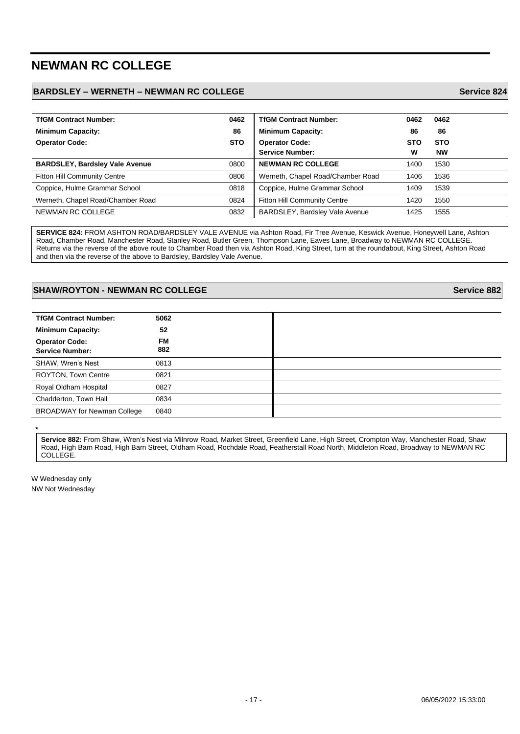# **NEWMAN RC COLLEGE**

### **BARDSLEY – WERNETH – NEWMAN RC COLLEGE Service 824**

| <b>TfGM Contract Number:</b>          | 0462       | <b>TfGM Contract Number:</b>        | 0462       | 0462       |
|---------------------------------------|------------|-------------------------------------|------------|------------|
| <b>Minimum Capacity:</b>              | 86         | <b>Minimum Capacity:</b>            | 86         | 86         |
| <b>Operator Code:</b>                 | <b>STO</b> | <b>Operator Code:</b>               | <b>STO</b> | <b>STO</b> |
|                                       |            | <b>Service Number:</b>              | W          | <b>NW</b>  |
| <b>BARDSLEY, Bardsley Vale Avenue</b> | 0800       | <b>NEWMAN RC COLLEGE</b>            | 1400       | 1530       |
| <b>Fitton Hill Community Centre</b>   | 0806       | Werneth, Chapel Road/Chamber Road   | 1406       | 1536       |
| Coppice, Hulme Grammar School         | 0818       | Coppice, Hulme Grammar School       | 1409       | 1539       |
| Werneth, Chapel Road/Chamber Road     | 0824       | <b>Fitton Hill Community Centre</b> | 1420       | 1550       |
| NEWMAN RC COLLEGE                     | 0832       | BARDSLEY, Bardsley Vale Avenue      | 1425       | 1555       |

**SERVICE 824:** FROM ASHTON ROAD/BARDSLEY VALE AVENUE via Ashton Road, Fir Tree Avenue, Keswick Avenue, Honeywell Lane, Ashton Road, Chamber Road, Manchester Road, Stanley Road, Butler Green, Thompson Lane, Eaves Lane, Broadway to NEWMAN RC COLLEGE. Returns via the reverse of the above route to Chamber Road then via Ashton Road, King Street, turn at the roundabout, King Street, Ashton Road and then via the reverse of the above to Bardsley, Bardsley Vale Avenue.

#### **SHAW/ROYTON - NEWMAN RC COLLEGE Service 882**

| <b>TfGM Contract Number:</b>                    | 5062             |
|-------------------------------------------------|------------------|
| <b>Minimum Capacity:</b>                        | 52               |
| <b>Operator Code:</b><br><b>Service Number:</b> | <b>FM</b><br>882 |
| SHAW, Wren's Nest                               | 0813             |
| <b>ROYTON, Town Centre</b>                      | 0821             |
| Royal Oldham Hospital                           | 0827             |
| Chadderton, Town Hall                           | 0834             |
| <b>BROADWAY for Newman College</b>              | 0840             |

**Service 882:** From Shaw, Wren's Nest via Milnrow Road, Market Street, Greenfield Lane, High Street, Crompton Way, Manchester Road, Shaw Road, High Barn Road, High Barn Street, Oldham Road, Rochdale Road, Featherstall Road North, Middleton Road, Broadway to NEWMAN RC COLLEGE.

W Wednesday only NW Not Wednesday

**\***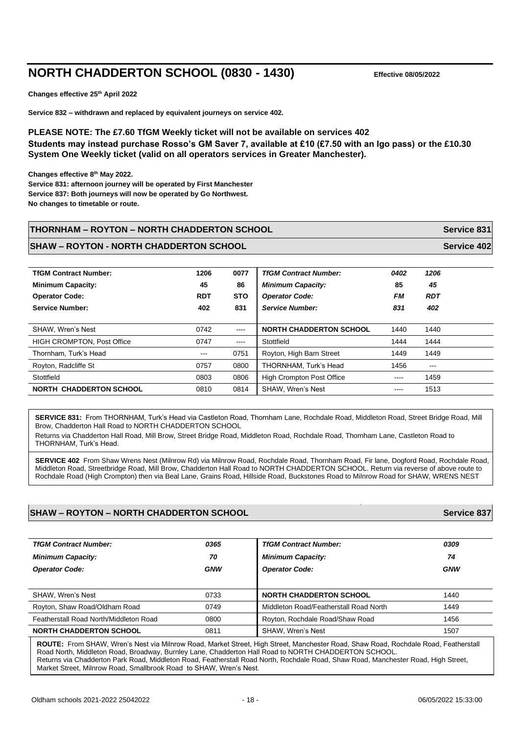# **NORTH CHADDERTON SCHOOL (0830 - 1430) Effective 08/05/2022**

**Changes effective 25th April 2022**

**Service 832 – withdrawn and replaced by equivalent journeys on service 402.**

#### **PLEASE NOTE: The £7.60 TfGM Weekly ticket will not be available on services 402 Students may instead purchase Rosso's GM Saver 7, available at £10 (£7.50 with an Igo pass) or the £10.30 System One Weekly ticket (valid on all operators services in Greater Manchester).**

**Changes effective 8th May 2022. Service 831: afternoon journey will be operated by First Manchester**

**Service 837: Both journeys will now be operated by Go Northwest.** 

**No changes to timetable or route.**

#### **THORNHAM – ROYTON – NORTH CHADDERTON SCHOOL Service 831**

#### **SHAW – ROYTON - NORTH CHADDERTON SCHOOL Service 402**

| <b>TfGM Contract Number:</b><br><b>Minimum Capacity:</b><br><b>Operator Code:</b><br><b>Service Number:</b> | 1206<br>45<br><b>RDT</b><br>402 | 0077<br>86<br><b>STO</b><br>831                                                                                                                                                                                                                                                                                                                                                                                                                                            | <b>TfGM Contract Number:</b><br><b>Minimum Capacity:</b><br><b>Operator Code:</b><br><b>Service Number:</b> | 0402<br>85<br><b>FM</b><br>831 | 1206<br>45<br><b>RDT</b><br>402 |
|-------------------------------------------------------------------------------------------------------------|---------------------------------|----------------------------------------------------------------------------------------------------------------------------------------------------------------------------------------------------------------------------------------------------------------------------------------------------------------------------------------------------------------------------------------------------------------------------------------------------------------------------|-------------------------------------------------------------------------------------------------------------|--------------------------------|---------------------------------|
| SHAW, Wren's Nest                                                                                           | 0742                            | $\frac{1}{2} \left( \frac{1}{2} \right) \left( \frac{1}{2} \right) \left( \frac{1}{2} \right) \left( \frac{1}{2} \right) \left( \frac{1}{2} \right) \left( \frac{1}{2} \right) \left( \frac{1}{2} \right) \left( \frac{1}{2} \right) \left( \frac{1}{2} \right) \left( \frac{1}{2} \right) \left( \frac{1}{2} \right) \left( \frac{1}{2} \right) \left( \frac{1}{2} \right) \left( \frac{1}{2} \right) \left( \frac{1}{2} \right) \left( \frac{1}{2} \right) \left( \frac$ | <b>NORTH CHADDERTON SCHOOL</b>                                                                              | 1440                           | 1440                            |
| <b>HIGH CROMPTON, Post Office</b>                                                                           | 0747                            | $\frac{1}{2} \frac{1}{2} \frac{1}{2} \frac{1}{2} \frac{1}{2} \frac{1}{2} \frac{1}{2} \frac{1}{2} \frac{1}{2} \frac{1}{2} \frac{1}{2} \frac{1}{2} \frac{1}{2} \frac{1}{2} \frac{1}{2} \frac{1}{2} \frac{1}{2} \frac{1}{2} \frac{1}{2} \frac{1}{2} \frac{1}{2} \frac{1}{2} \frac{1}{2} \frac{1}{2} \frac{1}{2} \frac{1}{2} \frac{1}{2} \frac{1}{2} \frac{1}{2} \frac{1}{2} \frac{1}{2} \frac{$                                                                               | Stottfield                                                                                                  | 1444                           | 1444                            |
| Thornham. Turk's Head                                                                                       | $--$                            | 0751                                                                                                                                                                                                                                                                                                                                                                                                                                                                       | Royton, High Barn Street                                                                                    | 1449                           | 1449                            |
| Royton, Radcliffe St                                                                                        | 0757                            | 0800                                                                                                                                                                                                                                                                                                                                                                                                                                                                       | THORNHAM, Turk's Head                                                                                       | 1456                           | ---                             |
| Stottfield                                                                                                  | 0803                            | 0806                                                                                                                                                                                                                                                                                                                                                                                                                                                                       | <b>High Crompton Post Office</b>                                                                            | $\frac{1}{2}$                  | 1459                            |
| <b>NORTH CHADDERTON SCHOOL</b>                                                                              | 0810                            | 0814                                                                                                                                                                                                                                                                                                                                                                                                                                                                       | <b>SHAW. Wren's Nest</b>                                                                                    | $\frac{1}{2}$                  | 1513                            |

**SERVICE 831:** From THORNHAM, Turk's Head via Castleton Road, Thornham Lane, Rochdale Road, Middleton Road, Street Bridge Road, Mill Brow, Chadderton Hall Road to NORTH CHADDERTON SCHOOL

Returns via Chadderton Hall Road, Mill Brow, Street Bridge Road, Middleton Road, Rochdale Road, Thornham Lane, Castleton Road to THORNHAM, Turk's Head.

SERVICE 402 From Shaw Wrens Nest (Milnrow Rd) via Milnrow Road, Rochdale Road, Thornham Road, Fir lane, Dogford Road, Rochdale Road, Middleton Road, Streetbridge Road, Mill Brow, Chadderton Hall Road to NORTH CHADDERTON SCHOOL. Return via reverse of above route to Rochdale Road (High Crompton) then via Beal Lane, Grains Road, Hillside Road, Buckstones Road to Milnrow Road for SHAW, WRENS NEST

#### **SHAW – ROYTON – NORTH CHADDERTON SCHOOL Service 837**

| <b>TfGM Contract Number:</b>           | 0365       | <b>TfGM Contract Number:</b>           | 0309       |
|----------------------------------------|------------|----------------------------------------|------------|
| <b>Minimum Capacity:</b>               | 70         | <b>Minimum Capacity:</b>               | 74         |
| <b>Operator Code:</b>                  | <b>GNW</b> | <b>Operator Code:</b>                  | <b>GNW</b> |
|                                        |            |                                        |            |
| SHAW, Wren's Nest                      | 0733       | <b>NORTH CHADDERTON SCHOOL</b>         | 1440       |
| Royton, Shaw Road/Oldham Road          | 0749       | Middleton Road/Featherstall Road North | 1449       |
| Featherstall Road North/Middleton Road | 0800       | Royton, Rochdale Road/Shaw Road        | 1456       |
| <b>NORTH CHADDERTON SCHOOL</b>         | 0811       | SHAW, Wren's Nest                      | 1507       |

**ROUTE:** From SHAW, Wren's Nest via Milnrow Road, Market Street, High Street, Manchester Road, Shaw Road, Rochdale Road, Featherstall Road North, Middleton Road, Broadway, Burnley Lane, Chadderton Hall Road to NORTH CHADDERTON SCHOOL. Returns via Chadderton Park Road, Middleton Road, Featherstall Road North, Rochdale Road, Shaw Road, Manchester Road, High Street, Market Street, Milnrow Road, Smallbrook Road to SHAW, Wren's Nest.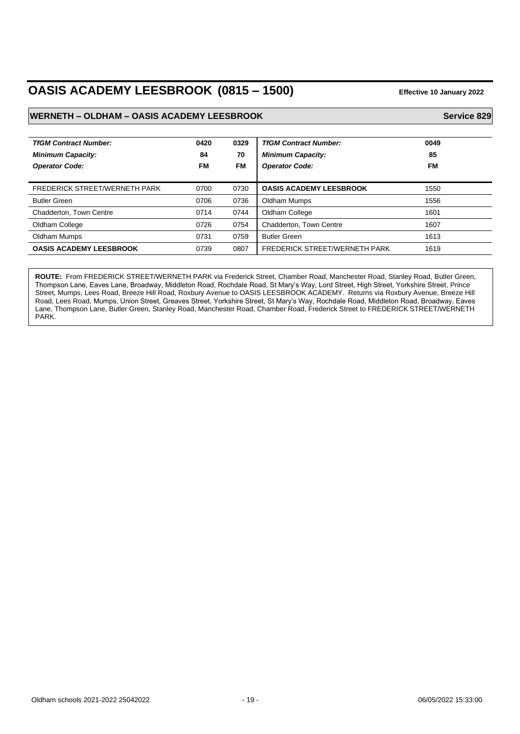# **OASIS ACADEMY LEESBROOK (0815 – 1500) Effective 10 January 2022**

#### **WERNETH – OLDHAM – OASIS ACADEMY LEESBROOK Service 829 Service 829**

| <b>TfGM Contract Number:</b><br><b>Minimum Capacity:</b><br><b>Operator Code:</b> | 0420<br>84<br>FM | 0329<br>70<br>FM | <b>TfGM Contract Number:</b><br><b>Minimum Capacity:</b><br><b>Operator Code:</b> | 0049<br>85<br><b>FM</b> |
|-----------------------------------------------------------------------------------|------------------|------------------|-----------------------------------------------------------------------------------|-------------------------|
| <b>FREDERICK STREET/WERNETH PARK</b>                                              | 0700             | 0730             | <b>OASIS ACADEMY LEESBROOK</b>                                                    | 1550                    |
| <b>Butler Green</b>                                                               | 0706             | 0736             | Oldham Mumps                                                                      | 1556                    |
| Chadderton, Town Centre                                                           | 0714             | 0744             | Oldham College                                                                    | 1601                    |
| Oldham College                                                                    | 0726             | 0754             | Chadderton, Town Centre                                                           | 1607                    |
| Oldham Mumps                                                                      | 0731             | 0759             | <b>Butler Green</b>                                                               | 1613                    |
| <b>OASIS ACADEMY LEESBROOK</b>                                                    | 0739             | 0807             | <b>FREDERICK STREET/WERNETH PARK</b>                                              | 1619                    |

**ROUTE:** From FREDERICK STREET/WERNETH PARK via Frederick Street, Chamber Road, Manchester Road, Stanley Road, Butler Green, Thompson Lane, Eaves Lane, Broadway, Middleton Road, Rochdale Road, St Mary's Way, Lord Street, High Street, Yorkshire Street, Prince Street, Mumps, Lees Road, Breeze Hill Road, Roxbury Avenue to OASIS LEESBROOK ACADEMY. Returns via Roxbury Avenue, Breeze Hill Road, Lees Road, Mumps, Union Street, Greaves Street, Yorkshire Street, St Mary's Way, Rochdale Road, Middleton Road, Broadway, Eaves Lane, Thompson Lane, Butler Green, Stanley Road, Manchester Road, Chamber Road, Frederick Street to FREDERICK STREET/WERNETH PARK.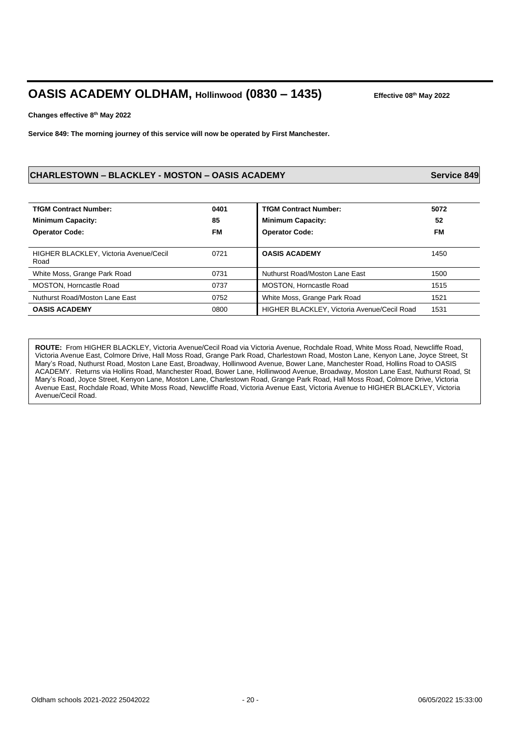# **OASIS ACADEMY OLDHAM, Hollinwood (0830 – 1435) Effective 08th May 2022**

**Changes effective 8th May 2022**

**Service 849: The morning journey of this service will now be operated by First Manchester.**

#### **CHARLESTOWN – BLACKLEY - MOSTON – OASIS ACADEMY Service 849**

| <b>TfGM Contract Number:</b><br><b>Minimum Capacity:</b><br><b>Operator Code:</b> | 0401<br>85<br><b>FM</b> | <b>TfGM Contract Number:</b><br><b>Minimum Capacity:</b><br><b>Operator Code:</b> | 5072<br>52<br>FM |
|-----------------------------------------------------------------------------------|-------------------------|-----------------------------------------------------------------------------------|------------------|
| <b>HIGHER BLACKLEY, Victoria Avenue/Cecil</b><br>Road                             | 0721                    | <b>OASIS ACADEMY</b>                                                              | 1450             |
| White Moss, Grange Park Road                                                      | 0731                    | Nuthurst Road/Moston Lane East                                                    | 1500             |
| MOSTON, Horncastle Road                                                           | 0737                    | MOSTON, Horncastle Road                                                           | 1515             |
| Nuthurst Road/Moston Lane East                                                    | 0752                    | White Moss, Grange Park Road                                                      | 1521             |
| <b>OASIS ACADEMY</b>                                                              | 0800                    | HIGHER BLACKLEY, Victoria Avenue/Cecil Road                                       | 1531             |

**ROUTE:** From HIGHER BLACKLEY, Victoria Avenue/Cecil Road via Victoria Avenue, Rochdale Road, White Moss Road, Newcliffe Road, Victoria Avenue East, Colmore Drive, Hall Moss Road, Grange Park Road, Charlestown Road, Moston Lane, Kenyon Lane, Joyce Street, St Mary's Road, Nuthurst Road, Moston Lane East, Broadway, Hollinwood Avenue, Bower Lane, Manchester Road, Hollins Road to OASIS ACADEMY. Returns via Hollins Road, Manchester Road, Bower Lane, Hollinwood Avenue, Broadway, Moston Lane East, Nuthurst Road, St Mary's Road, Joyce Street, Kenyon Lane, Moston Lane, Charlestown Road, Grange Park Road, Hall Moss Road, Colmore Drive, Victoria Avenue East, Rochdale Road, White Moss Road, Newcliffe Road, Victoria Avenue East, Victoria Avenue to HIGHER BLACKLEY, Victoria Avenue/Cecil Road.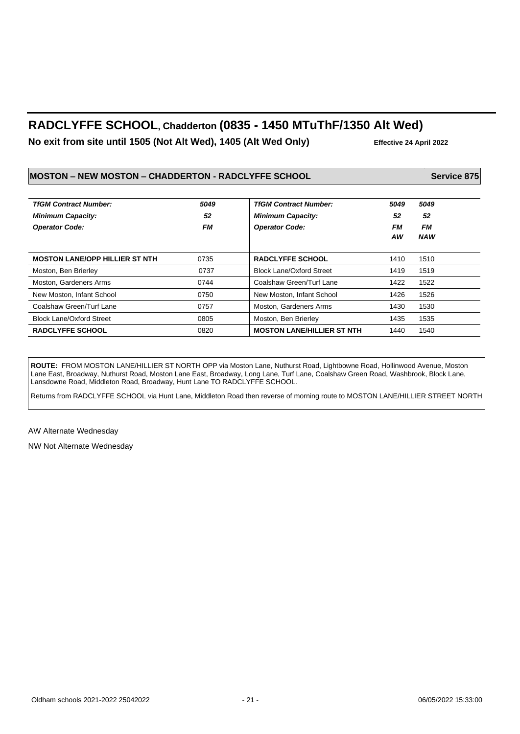# **RADCLYFFE SCHOOL, Chadderton (0835 - 1450 MTuThF/1350 Alt Wed)**

**No exit from site until 1505 (Not Alt Wed), 1405 (Alt Wed Only) Effective 24 April 2022**

### **MOSTON – NEW MOSTON – CHADDERTON - RADCLYFFE SCHOOL Service 875**

| <b>TfGM Contract Number:</b>          | 5049      | <b>TfGM Contract Number:</b>      | 5049 | 5049       |
|---------------------------------------|-----------|-----------------------------------|------|------------|
| <b>Minimum Capacity:</b>              | 52        | <b>Minimum Capacity:</b>          | 52   | 52         |
| <b>Operator Code:</b>                 | <b>FM</b> | <b>Operator Code:</b>             | FМ   | <b>FM</b>  |
|                                       |           |                                   | ΑW   | <b>NAW</b> |
| <b>MOSTON LANE/OPP HILLIER ST NTH</b> | 0735      | <b>RADCLYFFE SCHOOL</b>           | 1410 | 1510       |
| Moston, Ben Brierley                  | 0737      | <b>Block Lane/Oxford Street</b>   | 1419 | 1519       |
| Moston, Gardeners Arms                | 0744      | Coalshaw Green/Turf Lane          | 1422 | 1522       |
| New Moston, Infant School             | 0750      | New Moston, Infant School         | 1426 | 1526       |
| Coalshaw Green/Turf Lane              | 0757      | Moston, Gardeners Arms            | 1430 | 1530       |
| <b>Block Lane/Oxford Street</b>       | 0805      | Moston, Ben Brierley              | 1435 | 1535       |
| <b>RADCLYFFE SCHOOL</b>               | 0820      | <b>MOSTON LANE/HILLIER ST NTH</b> | 1440 | 1540       |

**ROUTE:** FROM MOSTON LANE/HILLIER ST NORTH OPP via Moston Lane, Nuthurst Road, Lightbowne Road, Hollinwood Avenue, Moston Lane East, Broadway, Nuthurst Road, Moston Lane East, Broadway, Long Lane, Turf Lane, Coalshaw Green Road, Washbrook, Block Lane, Lansdowne Road, Middleton Road, Broadway, Hunt Lane TO RADCLYFFE SCHOOL.

Returns from RADCLYFFE SCHOOL via Hunt Lane, Middleton Road then reverse of morning route to MOSTON LANE/HILLIER STREET NORTH

AW Alternate Wednesday

NW Not Alternate Wednesday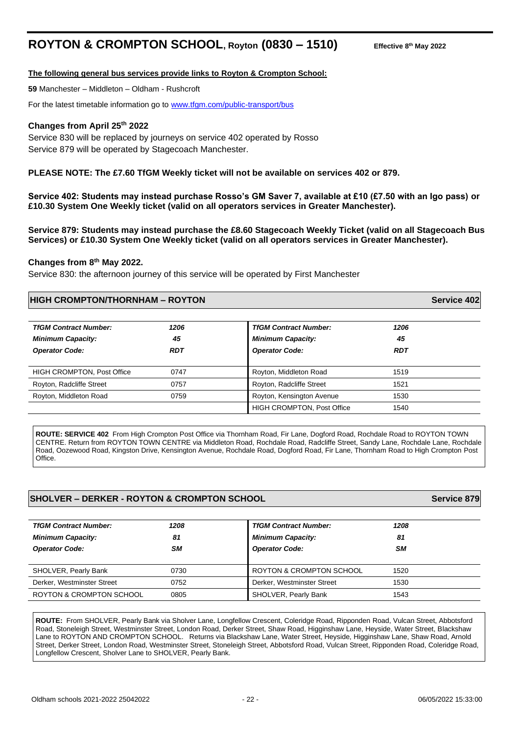# **ROYTON & CROMPTON SCHOOL, Royton (0830 – 1510)**

#### **The following general bus services provide links to Royton & Crompton School:**

**59** Manchester – Middleton – Oldham - Rushcroft

For the latest timetable information go to [www.tfgm.com/public-transport/bus](http://www.tfgm.com/public-transport/bus)

#### **Changes from April 25th 2022**

Service 830 will be replaced by journeys on service 402 operated by Rosso Service 879 will be operated by Stagecoach Manchester.

#### **PLEASE NOTE: The £7.60 TfGM Weekly ticket will not be available on services 402 or 879.**

**Service 402: Students may instead purchase Rosso's GM Saver 7, available at £10 (£7.50 with an Igo pass) or £10.30 System One Weekly ticket (valid on all operators services in Greater Manchester).**

**Service 879: Students may instead purchase the £8.60 Stagecoach Weekly Ticket (valid on all Stagecoach Bus Services) or £10.30 System One Weekly ticket (valid on all operators services in Greater Manchester).**

#### **Changes from 8th May 2022.**

Service 830: the afternoon journey of this service will be operated by First Manchester

#### **HIGH CROMPTON/THORNHAM – ROYTON Service 402**

| <b>TfGM Contract Number:</b><br><b>Minimum Capacity:</b><br><b>Operator Code:</b> | 1206<br>45<br>RDT | <b>TfGM Contract Number:</b><br><b>Minimum Capacity:</b><br><b>Operator Code:</b> | 1206<br>45<br><b>RDT</b> |
|-----------------------------------------------------------------------------------|-------------------|-----------------------------------------------------------------------------------|--------------------------|
| <b>HIGH CROMPTON, Post Office</b>                                                 | 0747              | Royton, Middleton Road                                                            | 1519                     |
| Royton, Radcliffe Street                                                          | 0757              | Royton, Radcliffe Street                                                          | 1521                     |
| Royton, Middleton Road                                                            | 0759              | Royton, Kensington Avenue                                                         | 1530                     |
|                                                                                   |                   | <b>HIGH CROMPTON, Post Office</b>                                                 | 1540                     |

**ROUTE: SERVICE 402** From High Crompton Post Office via Thornham Road, Fir Lane, Dogford Road, Rochdale Road to ROYTON TOWN CENTRE. Return from ROYTON TOWN CENTRE via Middleton Road, Rochdale Road, Radcliffe Street, Sandy Lane, Rochdale Lane, Rochdale Road, Oozewood Road, Kingston Drive, Kensington Avenue, Rochdale Road, Dogford Road, Fir Lane, Thornham Road to High Crompton Post **Office** 

#### **SHOLVER – DERKER - ROYTON & CROMPTON SCHOOL Service 879**

| <b>TfGM Contract Number:</b><br><b>Minimum Capacity:</b><br><b>Operator Code:</b> | 1208<br>81<br><b>SM</b> | <b>TfGM Contract Number:</b><br><b>Minimum Capacity:</b><br><b>Operator Code:</b> | 1208<br>81<br><b>SM</b> |
|-----------------------------------------------------------------------------------|-------------------------|-----------------------------------------------------------------------------------|-------------------------|
| SHOLVER, Pearly Bank                                                              | 0730                    | ROYTON & CROMPTON SCHOOL                                                          | 1520                    |
| Derker, Westminster Street                                                        | 0752                    | Derker, Westminster Street                                                        | 1530                    |
| ROYTON & CROMPTON SCHOOL                                                          | 0805                    | SHOLVER, Pearly Bank                                                              | 1543                    |

**ROUTE:** From SHOLVER, Pearly Bank via Sholver Lane, Longfellow Crescent, Coleridge Road, Ripponden Road, Vulcan Street, Abbotsford Road, Stoneleigh Street, Westminster Street, London Road, Derker Street, Shaw Road, Higginshaw Lane, Heyside, Water Street, Blackshaw Lane to ROYTON AND CROMPTON SCHOOL. Returns via Blackshaw Lane, Water Street, Heyside, Higginshaw Lane, Shaw Road, Arnold Street, Derker Street, London Road, Westminster Street, Stoneleigh Street, Abbotsford Road, Vulcan Street, Ripponden Road, Coleridge Road, Longfellow Crescent, Sholver Lane to SHOLVER, Pearly Bank.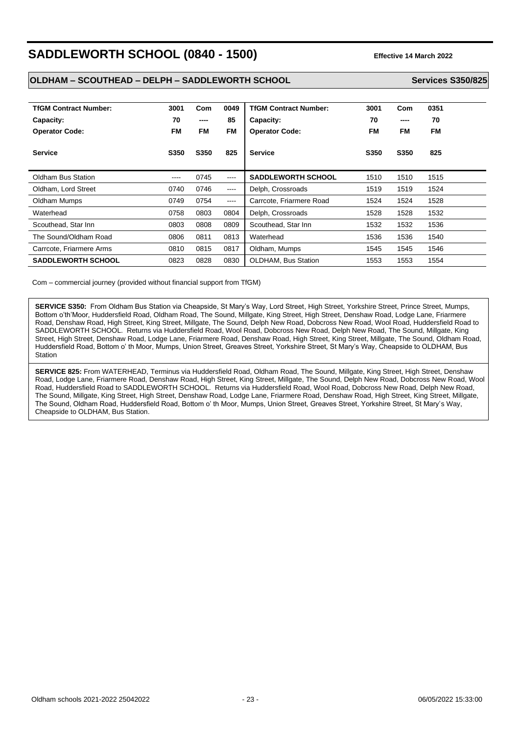# **SADDLEWORTH SCHOOL (0840 - 1500) Effective 14 March 2022**

#### **OLDHAM – SCOUTHEAD – DELPH – SADDLEWORTH SCHOOL Services S350/825**

| <b>TfGM Contract Number:</b><br>Capacity:<br><b>Operator Code:</b> | 3001<br>70<br>FM | Com<br>----<br><b>FM</b> | 0049<br>85<br><b>FM</b> | <b>TfGM Contract Number:</b><br>Capacity:<br><b>Operator Code:</b> | 3001<br>70<br><b>FM</b> | Com<br>----<br>FM | 0351<br>70<br><b>FM</b> |
|--------------------------------------------------------------------|------------------|--------------------------|-------------------------|--------------------------------------------------------------------|-------------------------|-------------------|-------------------------|
| <b>Service</b>                                                     | S350             | S350                     | 825                     | <b>Service</b>                                                     | S350                    | S350              | 825                     |
| Oldham Bus Station                                                 | ----             | 0745                     | ----                    | <b>SADDLEWORTH SCHOOL</b>                                          | 1510                    | 1510              | 1515                    |
| Oldham, Lord Street                                                | 0740             | 0746                     | ----                    | Delph, Crossroads                                                  | 1519                    | 1519              | 1524                    |
| Oldham Mumps                                                       | 0749             | 0754                     | ----                    | Carrcote, Friarmere Road                                           | 1524                    | 1524              | 1528                    |
| Waterhead                                                          | 0758             | 0803                     | 0804                    | Delph, Crossroads                                                  | 1528                    | 1528              | 1532                    |
| Scouthead, Star Inn                                                | 0803             | 0808                     | 0809                    | Scouthead, Star Inn                                                | 1532                    | 1532              | 1536                    |
| The Sound/Oldham Road                                              | 0806             | 0811                     | 0813                    | Waterhead                                                          | 1536                    | 1536              | 1540                    |
| Carrcote, Friarmere Arms                                           | 0810             | 0815                     | 0817                    | Oldham, Mumps                                                      | 1545                    | 1545              | 1546                    |
| <b>SADDLEWORTH SCHOOL</b>                                          | 0823             | 0828                     | 0830                    | <b>OLDHAM.</b> Bus Station                                         | 1553                    | 1553              | 1554                    |

Com – commercial journey (provided without financial support from TfGM)

**SERVICE S350:** From Oldham Bus Station via Cheapside, St Mary's Way, Lord Street, High Street, Yorkshire Street, Prince Street, Mumps, Bottom o'th'Moor, Huddersfield Road, Oldham Road, The Sound, Millgate, King Street, High Street, Denshaw Road, Lodge Lane, Friarmere Road, Denshaw Road, High Street, King Street, Millgate, The Sound, Delph New Road, Dobcross New Road, Wool Road, Huddersfield Road to SADDLEWORTH SCHOOL. Returns via Huddersfield Road, Wool Road, Dobcross New Road, Delph New Road, The Sound, Millgate, King Street, High Street, Denshaw Road, Lodge Lane, Friarmere Road, Denshaw Road, High Street, King Street, Millgate, The Sound, Oldham Road, Huddersfield Road, Bottom o' th Moor, Mumps, Union Street, Greaves Street, Yorkshire Street, St Mary's Way, Cheapside to OLDHAM, Bus **Station** 

**SERVICE 825:** From WATERHEAD, Terminus via Huddersfield Road, Oldham Road, The Sound, Millgate, King Street, High Street, Denshaw Road, Lodge Lane, Friarmere Road, Denshaw Road, High Street, King Street, Millgate, The Sound, Delph New Road, Dobcross New Road, Wool Road, Huddersfield Road to SADDLEWORTH SCHOOL. Returns via Huddersfield Road, Wool Road, Dobcross New Road, Delph New Road, The Sound, Millgate, King Street, High Street, Denshaw Road, Lodge Lane, Friarmere Road, Denshaw Road, High Street, King Street, Millgate, The Sound, Oldham Road, Huddersfield Road, Bottom o' th Moor, Mumps, Union Street, Greaves Street, Yorkshire Street, St Mary's Way, Cheapside to OLDHAM, Bus Station.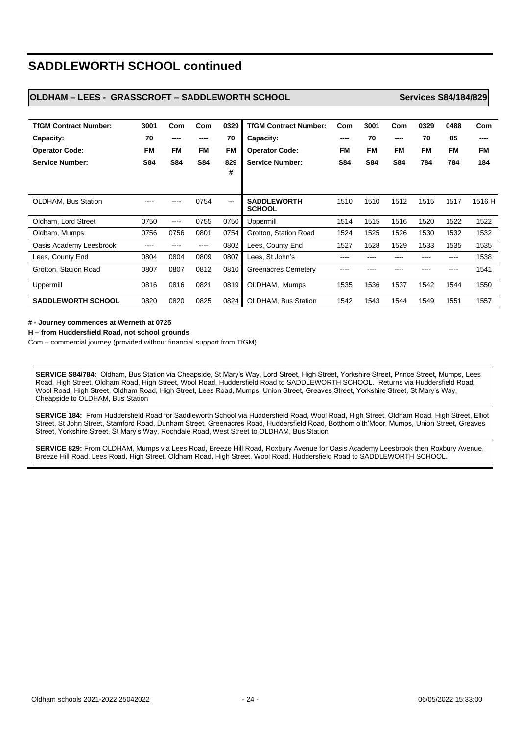# **SADDLEWORTH SCHOOL continued**

#### **OLDHAM – LEES - GRASSCROFT – SADDLEWORTH SCHOOL Services S84/184/829**

| <b>TfGM Contract Number:</b><br>Capacity:<br><b>Operator Code:</b><br><b>Service Number:</b> | 3001<br>70<br><b>FM</b><br><b>S84</b> | Com<br>----<br><b>FM</b><br><b>S84</b> | Com<br>FM<br><b>S84</b> | 0329<br>70<br><b>FM</b><br>829<br># | <b>TfGM Contract Number:</b><br>Capacity:<br><b>Operator Code:</b><br><b>Service Number:</b> | Com<br>----<br><b>FM</b><br><b>S84</b> | 3001<br>70<br><b>FM</b><br><b>S84</b> | Com<br>----<br><b>FM</b><br><b>S84</b> | 0329<br>70<br><b>FM</b><br>784 | 0488<br>85<br><b>FM</b><br>784 | Com<br>----<br><b>FM</b><br>184 |
|----------------------------------------------------------------------------------------------|---------------------------------------|----------------------------------------|-------------------------|-------------------------------------|----------------------------------------------------------------------------------------------|----------------------------------------|---------------------------------------|----------------------------------------|--------------------------------|--------------------------------|---------------------------------|
| <b>OLDHAM, Bus Station</b>                                                                   |                                       |                                        | 0754                    | $---$                               | <b>SADDLEWORTH</b><br><b>SCHOOL</b>                                                          | 1510                                   | 1510                                  | 1512                                   | 1515                           | 1517                           | 1516 H                          |
| Oldham, Lord Street                                                                          | 0750                                  | ----                                   | 0755                    | 0750                                | Uppermill                                                                                    | 1514                                   | 1515                                  | 1516                                   | 1520                           | 1522                           | 1522                            |
| Oldham, Mumps                                                                                | 0756                                  | 0756                                   | 0801                    | 0754                                | Grotton, Station Road                                                                        | 1524                                   | 1525                                  | 1526                                   | 1530                           | 1532                           | 1532                            |
| Oasis Academy Leesbrook                                                                      | ----                                  | ----                                   | ----                    | 0802                                | Lees, County End                                                                             | 1527                                   | 1528                                  | 1529                                   | 1533                           | 1535                           | 1535                            |
| Lees, County End                                                                             | 0804                                  | 0804                                   | 0809                    | 0807                                | Lees, St John's                                                                              | ----                                   | ----                                  |                                        | ----                           | ----                           | 1538                            |
| Grotton, Station Road                                                                        | 0807                                  | 0807                                   | 0812                    | 0810                                | <b>Greenacres Cemetery</b>                                                                   | ---                                    |                                       |                                        |                                | ----                           | 1541                            |
| Uppermill                                                                                    | 0816                                  | 0816                                   | 0821                    | 0819                                | OLDHAM, Mumps                                                                                | 1535                                   | 1536                                  | 1537                                   | 1542                           | 1544                           | 1550                            |
| <b>SADDLEWORTH SCHOOL</b>                                                                    | 0820                                  | 0820                                   | 0825                    | 0824                                | <b>OLDHAM, Bus Station</b>                                                                   | 1542                                   | 1543                                  | 1544                                   | 1549                           | 1551                           | 1557                            |

#### **# - Journey commences at Werneth at 0725**

**H – from Huddersfield Road, not school grounds**

Com – commercial journey (provided without financial support from TfGM)

**SERVICE S84/784:** Oldham, Bus Station via Cheapside, St Mary's Way, Lord Street, High Street, Yorkshire Street, Prince Street, Mumps, Lees Road, High Street, Oldham Road, High Street, Wool Road, Huddersfield Road to SADDLEWORTH SCHOOL. Returns via Huddersfield Road, Wool Road, High Street, Oldham Road, High Street, Lees Road, Mumps, Union Street, Greaves Street, Yorkshire Street, St Mary's Way, Cheapside to OLDHAM, Bus Station

**SERVICE 184:** From Huddersfield Road for Saddleworth School via Huddersfield Road, Wool Road, High Street, Oldham Road, High Street, Elliot Street, St John Street, Stamford Road, Dunham Street, Greenacres Road, Huddersfield Road, Botthom o'th'Moor, Mumps, Union Street, Greaves Street, Yorkshire Street, St Mary's Way, Rochdale Road, West Street to OLDHAM, Bus Station

**SERVICE 829:** From OLDHAM, Mumps via Lees Road, Breeze Hill Road, Roxbury Avenue for Oasis Academy Leesbrook then Roxbury Avenue, Breeze Hill Road, Lees Road, High Street, Oldham Road, High Street, Wool Road, Huddersfield Road to SADDLEWORTH SCHOOL.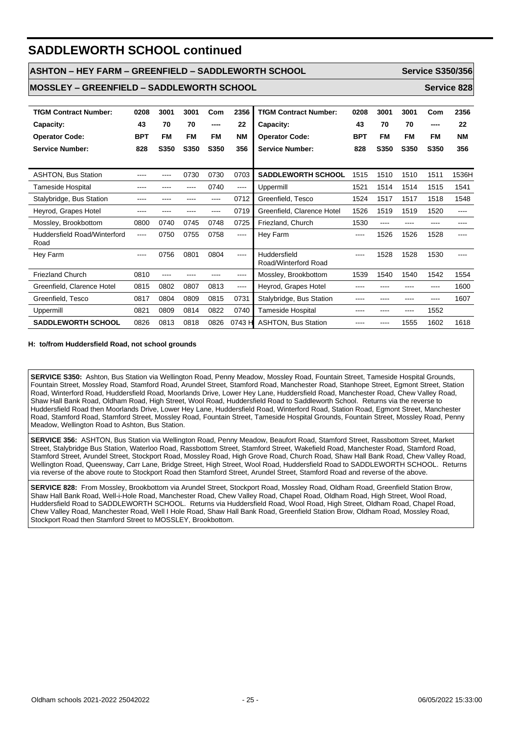# **SADDLEWORTH SCHOOL continued**

#### **ASHTON – HEY FARM – GREENFIELD – SADDLEWORTH SCHOOL Service S350/356**

**MOSSLEY – GREENFIELD – SADDLEWORTH SCHOOL Service 828**

| <b>TfGM Contract Number:</b>         | 0208       | 3001 | 3001      | Com  | 2356                                                                                                                                                                                                                                                                                                                                                                                                                                                                       | <b>TfGM Contract Number:</b>         | 0208       | 3001      | 3001      | Com       | 2356  |
|--------------------------------------|------------|------|-----------|------|----------------------------------------------------------------------------------------------------------------------------------------------------------------------------------------------------------------------------------------------------------------------------------------------------------------------------------------------------------------------------------------------------------------------------------------------------------------------------|--------------------------------------|------------|-----------|-----------|-----------|-------|
| Capacity:                            | 43         | 70   | 70        | ---- | 22                                                                                                                                                                                                                                                                                                                                                                                                                                                                         | Capacity:                            | 43         | 70        | 70        | ----      | 22    |
| <b>Operator Code:</b>                | <b>BPT</b> | FM   | <b>FM</b> | FM   | NM                                                                                                                                                                                                                                                                                                                                                                                                                                                                         | <b>Operator Code:</b>                | <b>BPT</b> | <b>FM</b> | <b>FM</b> | <b>FM</b> | NΜ    |
| <b>Service Number:</b>               | 828        | S350 | S350      | S350 | 356                                                                                                                                                                                                                                                                                                                                                                                                                                                                        | <b>Service Number:</b>               | 828        | S350      | S350      | S350      | 356   |
|                                      |            |      |           |      |                                                                                                                                                                                                                                                                                                                                                                                                                                                                            |                                      |            |           |           |           |       |
| <b>ASHTON, Bus Station</b>           | ---        | ---- | 0730      | 0730 | 0703                                                                                                                                                                                                                                                                                                                                                                                                                                                                       | <b>SADDLEWORTH SCHOOL</b>            | 1515       | 1510      | 1510      | 1511      | 1536H |
| <b>Tameside Hospital</b>             |            |      |           | 0740 | $---$                                                                                                                                                                                                                                                                                                                                                                                                                                                                      | Uppermill                            | 1521       | 1514      | 1514      | 1515      | 1541  |
| Stalybridge, Bus Station             |            |      |           | ---- | 0712                                                                                                                                                                                                                                                                                                                                                                                                                                                                       | Greenfield, Tesco                    | 1524       | 1517      | 1517      | 1518      | 1548  |
| Heyrod, Grapes Hotel                 |            |      |           | ---- | 0719                                                                                                                                                                                                                                                                                                                                                                                                                                                                       | Greenfield, Clarence Hotel           | 1526       | 1519      | 1519      | 1520      | ----  |
| Mossley, Brookbottom                 | 0800       | 0740 | 0745      | 0748 | 0725                                                                                                                                                                                                                                                                                                                                                                                                                                                                       | Friezland, Church                    | 1530       | ----      |           |           |       |
| Huddersfield Road/Winterford<br>Road | $---$      | 0750 | 0755      | 0758 | $\frac{1}{2} \left( \frac{1}{2} \right) \left( \frac{1}{2} \right) \left( \frac{1}{2} \right) \left( \frac{1}{2} \right) \left( \frac{1}{2} \right) \left( \frac{1}{2} \right) \left( \frac{1}{2} \right) \left( \frac{1}{2} \right) \left( \frac{1}{2} \right) \left( \frac{1}{2} \right) \left( \frac{1}{2} \right) \left( \frac{1}{2} \right) \left( \frac{1}{2} \right) \left( \frac{1}{2} \right) \left( \frac{1}{2} \right) \left( \frac{1}{2} \right) \left( \frac$ | Hey Farm                             | ----       | 1526      | 1526      | 1528      | ----  |
| Hey Farm                             | $\cdots$   | 0756 | 0801      | 0804 | $\cdots$                                                                                                                                                                                                                                                                                                                                                                                                                                                                   | Huddersfield<br>Road/Winterford Road | $---$      | 1528      | 1528      | 1530      |       |
| <b>Friezland Church</b>              | 0810       | ---- |           |      | ----                                                                                                                                                                                                                                                                                                                                                                                                                                                                       | Mossley, Brookbottom                 | 1539       | 1540      | 1540      | 1542      | 1554  |
| Greenfield, Clarence Hotel           | 0815       | 0802 | 0807      | 0813 | $\cdots$                                                                                                                                                                                                                                                                                                                                                                                                                                                                   | Heyrod, Grapes Hotel                 | ----       |           |           | ----      | 1600  |
| Greenfield, Tesco                    | 0817       | 0804 | 0809      | 0815 | 0731                                                                                                                                                                                                                                                                                                                                                                                                                                                                       | Stalybridge, Bus Station             | ----       |           | ----      | ----      | 1607  |
| Uppermill                            | 0821       | 0809 | 0814      | 0822 | 0740                                                                                                                                                                                                                                                                                                                                                                                                                                                                       | <b>Tameside Hospital</b>             | ----       | ----      | $- - - -$ | 1552      |       |
| <b>SADDLEWORTH SCHOOL</b>            | 0826       | 0813 | 0818      | 0826 | 0743 H                                                                                                                                                                                                                                                                                                                                                                                                                                                                     | <b>ASHTON, Bus Station</b>           | ----       | ----      | 1555      | 1602      | 1618  |

#### **H: to/from Huddersfield Road, not school grounds**

**SERVICE S350:** Ashton, Bus Station via Wellington Road, Penny Meadow, Mossley Road, Fountain Street, Tameside Hospital Grounds, Fountain Street, Mossley Road, Stamford Road, Arundel Street, Stamford Road, Manchester Road, Stanhope Street, Egmont Street, Station Road, Winterford Road, Huddersfield Road, Moorlands Drive, Lower Hey Lane, Huddersfield Road, Manchester Road, Chew Valley Road, Shaw Hall Bank Road, Oldham Road, High Street, Wool Road, Huddersfield Road to Saddleworth School. Returns via the reverse to Huddersfield Road then Moorlands Drive, Lower Hey Lane, Huddersfield Road, Winterford Road, Station Road, Egmont Street, Manchester Road, Stamford Road, Stamford Street, Mossley Road, Fountain Street, Tameside Hospital Grounds, Fountain Street, Mossley Road, Penny Meadow, Wellington Road to Ashton, Bus Station.

**SERVICE 356:** ASHTON, Bus Station via Wellington Road, Penny Meadow, Beaufort Road, Stamford Street, Rassbottom Street, Market Street, Stalybridge Bus Station, Waterloo Road, Rassbottom Street, Stamford Street, Wakefield Road, Manchester Road, Stamford Road, Stamford Street, Arundel Street, Stockport Road, Mossley Road, High Grove Road, Church Road, Shaw Hall Bank Road, Chew Valley Road, Wellington Road, Queensway, Carr Lane, Bridge Street, High Street, Wool Road, Huddersfield Road to SADDLEWORTH SCHOOL. Returns via reverse of the above route to Stockport Road then Stamford Street, Arundel Street, Stamford Road and reverse of the above.

**SERVICE 828:** From Mossley, Brookbottom via Arundel Street, Stockport Road, Mossley Road, Oldham Road, Greenfield Station Brow, Shaw Hall Bank Road, Well-i-Hole Road, Manchester Road, Chew Valley Road, Chapel Road, Oldham Road, High Street, Wool Road, Huddersfield Road to SADDLEWORTH SCHOOL. Returns via Huddersfield Road, Wool Road, High Street, Oldham Road, Chapel Road, Chew Valley Road, Manchester Road, Well I Hole Road, Shaw Hall Bank Road, Greenfield Station Brow, Oldham Road, Mossley Road, Stockport Road then Stamford Street to MOSSLEY, Brookbottom.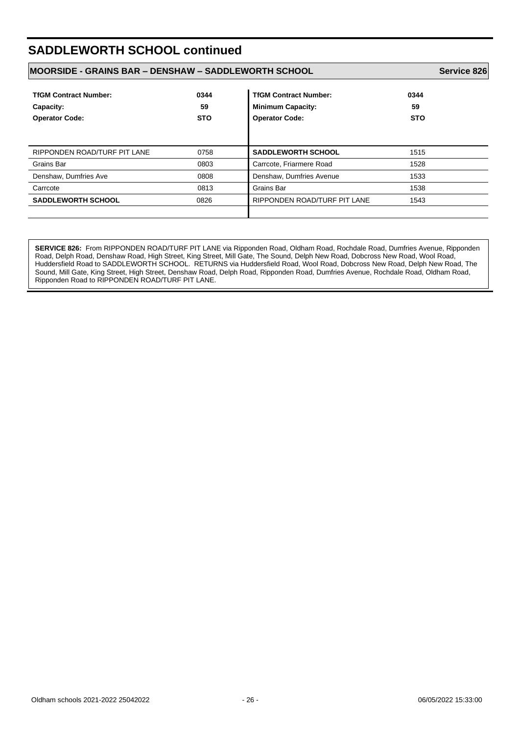# **SADDLEWORTH SCHOOL continued**

#### **MOORSIDE - GRAINS BAR – DENSHAW – SADDLEWORTH SCHOOL Service 826**

| <b>TfGM Contract Number:</b><br>Capacity:<br><b>Operator Code:</b> | 0344<br>59<br><b>STO</b> | <b>TfGM Contract Number:</b><br><b>Minimum Capacity:</b><br><b>Operator Code:</b> | 0344<br>59<br><b>STO</b> |
|--------------------------------------------------------------------|--------------------------|-----------------------------------------------------------------------------------|--------------------------|
| RIPPONDEN ROAD/TURF PIT LANE                                       | 0758                     | <b>SADDLEWORTH SCHOOL</b>                                                         | 1515                     |
| Grains Bar                                                         | 0803                     | Carrcote, Friarmere Road                                                          | 1528                     |
| Denshaw, Dumfries Ave                                              | 0808                     | Denshaw, Dumfries Avenue                                                          | 1533                     |
| Carrcote                                                           | 0813                     | Grains Bar                                                                        | 1538                     |
| <b>SADDLEWORTH SCHOOL</b>                                          | 0826                     | RIPPONDEN ROAD/TURF PIT LANE                                                      | 1543                     |

**SERVICE 826:** From RIPPONDEN ROAD/TURF PIT LANE via Ripponden Road, Oldham Road, Rochdale Road, Dumfries Avenue, Ripponden Road, Delph Road, Denshaw Road, High Street, King Street, Mill Gate, The Sound, Delph New Road, Dobcross New Road, Wool Road, Huddersfield Road to SADDLEWORTH SCHOOL. RETURNS via Huddersfield Road, Wool Road, Dobcross New Road, Delph New Road, The Sound, Mill Gate, King Street, High Street, Denshaw Road, Delph Road, Ripponden Road, Dumfries Avenue, Rochdale Road, Oldham Road, Ripponden Road to RIPPONDEN ROAD/TURF PIT LANE.